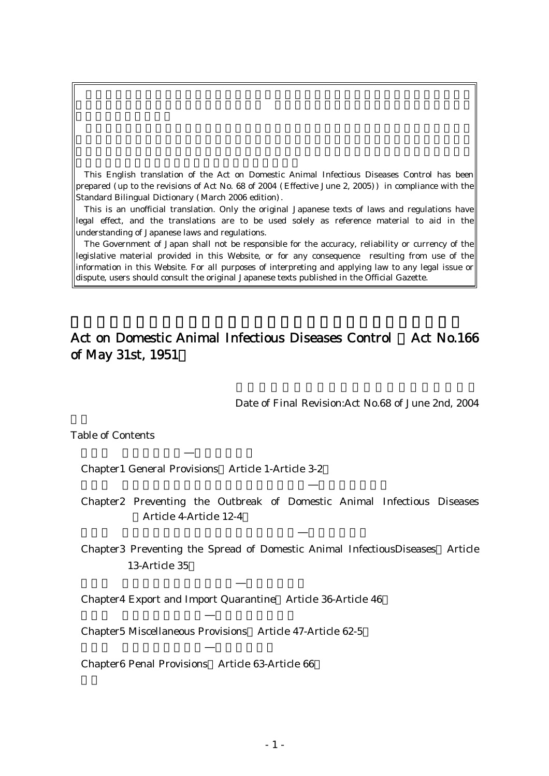This English translation of the Act on Domestic Animal Infectious Diseases Control has been prepared (up to the revisions of Act No. 68 of 2004 (Effective June 2, 2005)) in compliance with the Standard Bilingual Dictionary (March 2006 edition).

This is an unofficial translation. Only the original Japanese texts of laws and regulations have legal effect, and the translations are to be used solely as reference material to aid in the understanding of Japanese laws and regulations.

The Government of Japan shall not be responsible for the accuracy, reliability or currency of the legislative material provided in this Website, or for any consequence resulting from use of the information in this Website. For all purposes of interpreting and applying law to any legal issue or dispute, users should consult the original Japanese texts published in the Official Gazette.

# Act on Domestic Animal Infectious Diseases Control Act No.166 of May 31st, 1951)

Date of Final Revision:Act No.68 of June 2nd, 2004

Table of Contents

Chapter1 General Provisions Article 1-Article 3-2 ( )

- Chapter2 Preventing the Outbreak of Domestic Animal Infectious Diseases ( ) Article 4-Article 12-4
- Chapter3 Preventing the Spread of Domestic Animal InfectiousDiseases Article 13-Article 35

Chapter4 Export and Import Quarantine Article 36-Article 46

Chapter5 Miscellaneous Provisions Article 47-Article 62-5 ( )

Chapter6 Penal Provisions Article 63-Article 66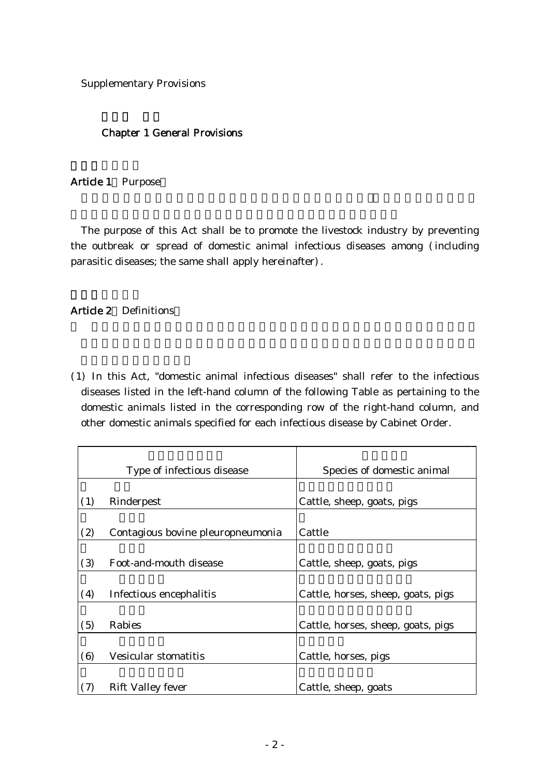Supplementary Provisions

### Chapter 1 General Provisions

### Article 1 Purpose

The purpose of this Act shall be to promote the livestock industry by preventing the outbreak or spread of domestic animal infectious diseases among (including parasitic diseases; the same shall apply hereinafter).

### Article 2 Definitions

( )1 In this Act, "domestic animal infectious diseases" shall refer to the infectious diseases listed in the left-hand column of the following Table as pertaining to the domestic animals listed in the corresponding row of the right-hand column, and other domestic animals specified for each infectious disease by Cabinet Order.

|     | Type of infectious disease        | Species of domestic animal         |
|-----|-----------------------------------|------------------------------------|
|     |                                   |                                    |
| (1) | Rinderpest                        | Cattle, sheep, goats, pigs         |
|     |                                   |                                    |
| (2) | Contagious bovine pleuropneumonia | Cattle                             |
|     |                                   |                                    |
| (3) | Foot-and-mouth disease            | Cattle, sheep, goats, pigs         |
|     |                                   |                                    |
| (4) | Infectious encephalitis           | Cattle, horses, sheep, goats, pigs |
|     |                                   |                                    |
| (5) | Rabies                            | Cattle, horses, sheep, goats, pigs |
|     |                                   |                                    |
| (6) | Vesicular stomatitis              | Cattle, horses, pigs               |
|     |                                   |                                    |
| (7) | Rift Valley fever                 | Cattle, sheep, goats               |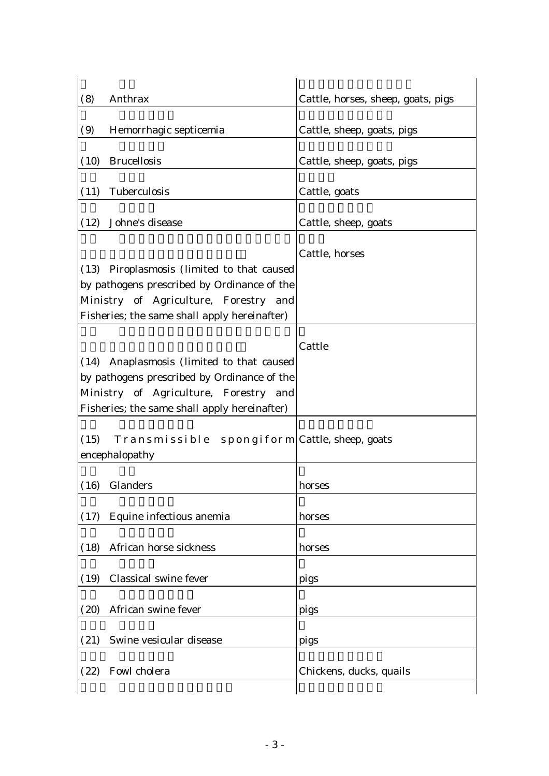| Anthrax<br>(8)                                                                                                                                                                        | Cattle, horses, sheep, goats, pigs |
|---------------------------------------------------------------------------------------------------------------------------------------------------------------------------------------|------------------------------------|
| (9)<br>Hemorrhagic septicemia                                                                                                                                                         | Cattle, sheep, goats, pigs         |
| <b>Brucellosis</b><br>(10)                                                                                                                                                            | Cattle, sheep, goats, pigs         |
| Tuberculosis<br>(11)                                                                                                                                                                  | Cattle, goats                      |
| Johne's disease<br>(12)                                                                                                                                                               | Cattle, sheep, goats               |
| Piroplasmosis (limited to that caused<br>(13)<br>by pathogens prescribed by Ordinance of the<br>Ministry of Agriculture, Forestry and<br>Fisheries; the same shall apply hereinafter) | Cattle, horses                     |
| Anaplasmosis (limited to that caused<br>(14)<br>by pathogens prescribed by Ordinance of the<br>Ministry of Agriculture, Forestry and<br>Fisheries; the same shall apply hereinafter)  | Cattle                             |
| Transmissible spongiform Cattle, sheep, goats<br>(15)<br>encephalopathy                                                                                                               |                                    |
| Glanders<br>(16)                                                                                                                                                                      | horses                             |
| Equine infectious anemia<br>(17)                                                                                                                                                      | horses                             |
| African horse sickness<br>(18)                                                                                                                                                        | horses                             |
| Classical swine fever<br>(19)                                                                                                                                                         | pigs                               |
| African swine fever<br>(20)                                                                                                                                                           | pigs                               |
| Swine vesicular disease<br>(21)                                                                                                                                                       | pigs                               |
| Fowl cholera                                                                                                                                                                          | Chickens, ducks, quails            |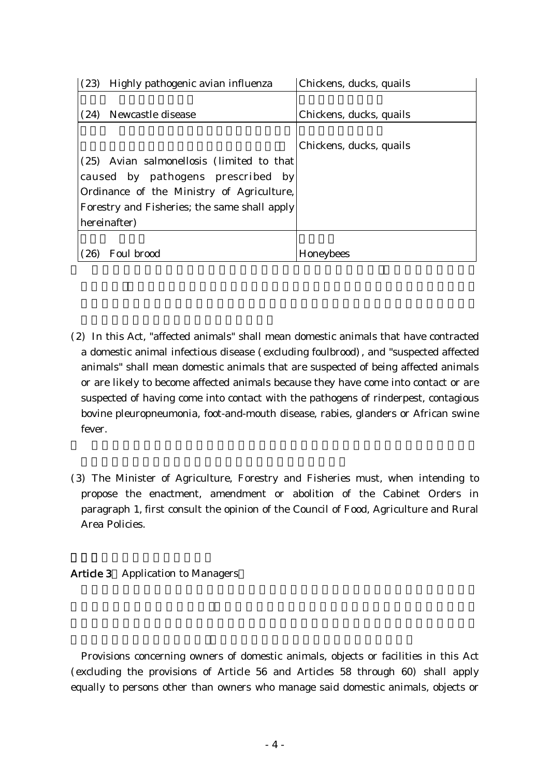| (23)<br>Highly pathogenic avian influenza    | Chickens, ducks, quails |
|----------------------------------------------|-------------------------|
|                                              |                         |
| Newcastle disease<br>(24)                    | Chickens, ducks, quails |
|                                              |                         |
|                                              | Chickens, ducks, quails |
| (25) Avian salmonellosis (limited to that    |                         |
| caused by pathogens prescribed by            |                         |
| Ordinance of the Ministry of Agriculture,    |                         |
| Forestry and Fisheries; the same shall apply |                         |
| hereinafter)                                 |                         |
|                                              |                         |
| Foul brood<br>$\left( 26\right)$             | Honeybees               |

- (2) In this Act, "affected animals" shall mean domestic animals that have contracted a domestic animal infectious disease (excluding foulbrood), and "suspected affected animals" shall mean domestic animals that are suspected of being affected animals or are likely to become affected animals because they have come into contact or are suspected of having come into contact with the pathogens of rinderpest, contagious bovine pleuropneumonia, foot-and-mouth disease, rabies, glanders or African swine fever.
- (3) The Minister of Agriculture, Forestry and Fisheries must, when intending to propose the enactment, amendment or abolition of the Cabinet Orders in paragraph 1, first consult the opinion of the Council of Food, Agriculture and Rural Area Policies.

# Article 3 Application to Managers

Provisions concerning owners of domestic animals, objects or facilities in this Act (excluding the provisions of Article 56 and Articles 58 through 60) shall apply equally to persons other than owners who manage said domestic animals, objects or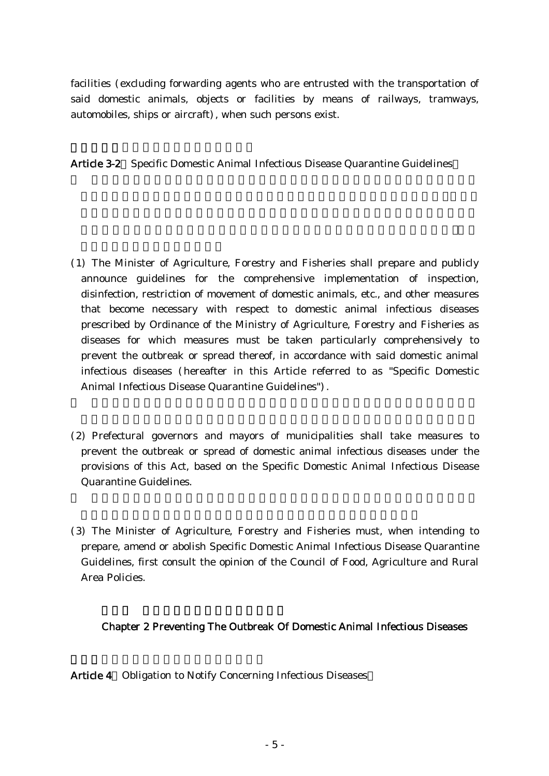facilities (excluding forwarding agents who are entrusted with the transportation of said domestic animals, objects or facilities by means of railways, tramways, automobiles, ships or aircraft), when such persons exist.

Article 3-2 Specific Domestic Animal Infectious Disease Quarantine Guidelines

- ( )1 The Minister of Agriculture, Forestry and Fisheries shall prepare and publicly announce guidelines for the comprehensive implementation of inspection, disinfection, restriction of movement of domestic animals, etc., and other measures that become necessary with respect to domestic animal infectious diseases prescribed by Ordinance of the Ministry of Agriculture, Forestry and Fisheries as diseases for which measures must be taken particularly comprehensively to prevent the outbreak or spread thereof, in accordance with said domestic animal infectious diseases (hereafter in this Article referred to as "Specific Domestic Animal Infectious Disease Quarantine Guidelines").
- (2) Prefectural governors and mayors of municipalities shall take measures to prevent the outbreak or spread of domestic animal infectious diseases under the provisions of this Act, based on the Specific Domestic Animal Infectious Disease Quarantine Guidelines.
- (3) The Minister of Agriculture, Forestry and Fisheries must, when intending to prepare, amend or abolish Specific Domestic Animal Infectious Disease Quarantine Guidelines, first consult the opinion of the Council of Food, Agriculture and Rural Area Policies.

# Chapter 2 Preventing The Outbreak Of Domestic Animal Infectious Diseases

Article 4 Obligation to Notify Concerning Infectious Diseases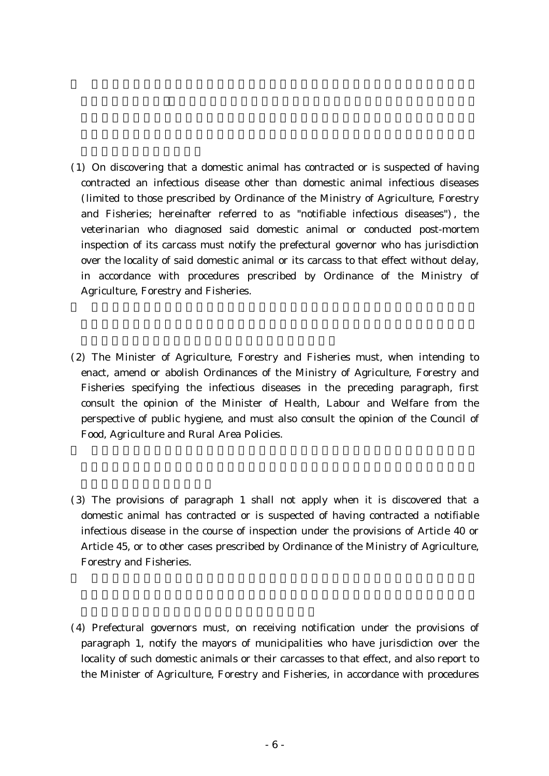- ( )1 On discovering that a domestic animal has contracted or is suspected of having contracted an infectious disease other than domestic animal infectious diseases (limited to those prescribed by Ordinance of the Ministry of Agriculture, Forestry and Fisheries; hereinafter referred to as "notifiable infectious diseases"), the veterinarian who diagnosed said domestic animal or conducted post-mortem inspection of its carcass must notify the prefectural governor who has jurisdiction over the locality of said domestic animal or its carcass to that effect without delay, in accordance with procedures prescribed by Ordinance of the Ministry of Agriculture, Forestry and Fisheries.
- (2) The Minister of Agriculture, Forestry and Fisheries must, when intending to enact, amend or abolish Ordinances of the Ministry of Agriculture, Forestry and Fisheries specifying the infectious diseases in the preceding paragraph, first consult the opinion of the Minister of Health, Labour and Welfare from the perspective of public hygiene, and must also consult the opinion of the Council of Food, Agriculture and Rural Area Policies.
- (3) The provisions of paragraph 1 shall not apply when it is discovered that a domestic animal has contracted or is suspected of having contracted a notifiable infectious disease in the course of inspection under the provisions of Article 40 or Article 45, or to other cases prescribed by Ordinance of the Ministry of Agriculture, Forestry and Fisheries.
- (4) Prefectural governors must, on receiving notification under the provisions of paragraph 1, notify the mayors of municipalities who have jurisdiction over the locality of such domestic animals or their carcasses to that effect, and also report to the Minister of Agriculture, Forestry and Fisheries, in accordance with procedures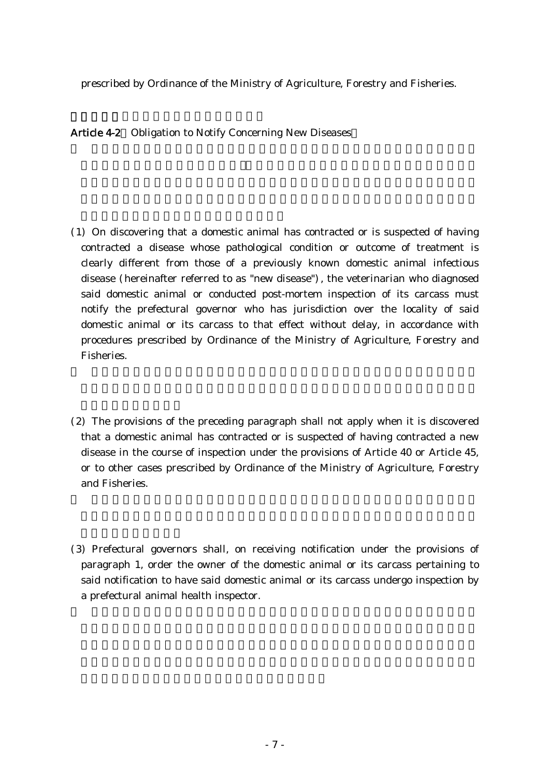prescribed by Ordinance of the Ministry of Agriculture, Forestry and Fisheries.

Article 4-2 Obligation to Notify Concerning New Diseases

- ( )1 On discovering that a domestic animal has contracted or is suspected of having contracted a disease whose pathological condition or outcome of treatment is clearly different from those of a previously known domestic animal infectious disease (hereinafter referred to as "new disease"), the veterinarian who diagnosed said domestic animal or conducted post-mortem inspection of its carcass must notify the prefectural governor who has jurisdiction over the locality of said domestic animal or its carcass to that effect without delay, in accordance with procedures prescribed by Ordinance of the Ministry of Agriculture, Forestry and Fisheries.
- $(2)$  The provisions of the preceding paragraph shall not apply when it is discovered that a domestic animal has contracted or is suspected of having contracted a new disease in the course of inspection under the provisions of Article 40 or Article 45, or to other cases prescribed by Ordinance of the Ministry of Agriculture, Forestry and Fisheries.
- (3) Prefectural governors shall, on receiving notification under the provisions of paragraph 1, order the owner of the domestic animal or its carcass pertaining to said notification to have said domestic animal or its carcass undergo inspection by a prefectural animal health inspector.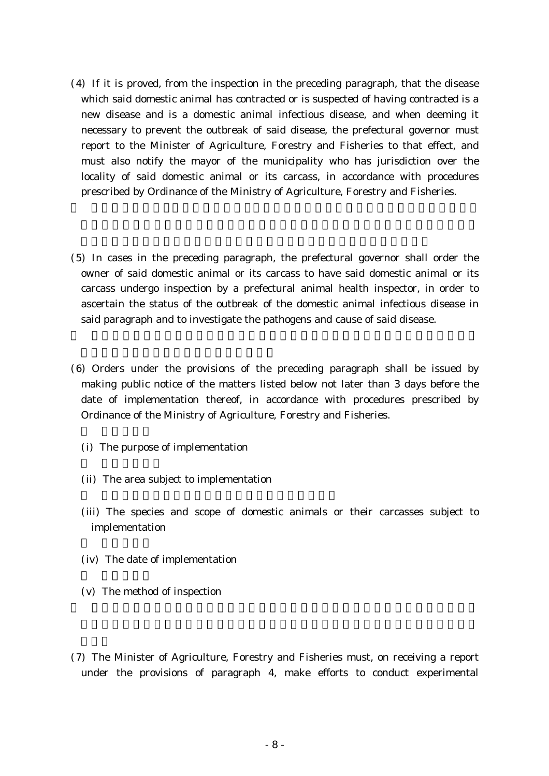- $(4)$  If it is proved, from the inspection in the preceding paragraph, that the disease which said domestic animal has contracted or is suspected of having contracted is a new disease and is a domestic animal infectious disease, and when deeming it necessary to prevent the outbreak of said disease, the prefectural governor must report to the Minister of Agriculture, Forestry and Fisheries to that effect, and must also notify the mayor of the municipality who has jurisdiction over the locality of said domestic animal or its carcass, in accordance with procedures prescribed by Ordinance of the Ministry of Agriculture, Forestry and Fisheries.
- (5) In cases in the preceding paragraph, the prefectural governor shall order the owner of said domestic animal or its carcass to have said domestic animal or its carcass undergo inspection by a prefectural animal health inspector, in order to ascertain the status of the outbreak of the domestic animal infectious disease in said paragraph and to investigate the pathogens and cause of said disease.
- ( )6 Orders under the provisions of the preceding paragraph shall be issued by making public notice of the matters listed below not later than 3 days before the date of implementation thereof, in accordance with procedures prescribed by Ordinance of the Ministry of Agriculture, Forestry and Fisheries.
	- (i) The purpose of implementation
	- (ii) The area subject to implementation
	- (iii) The species and scope of domestic animals or their carcasses subject to implementation
	- (iv) The date of implementation
	- $(v)$  The method of inspection
- (7) The Minister of Agriculture, Forestry and Fisheries must, on receiving a report under the provisions of paragraph 4, make efforts to conduct experimental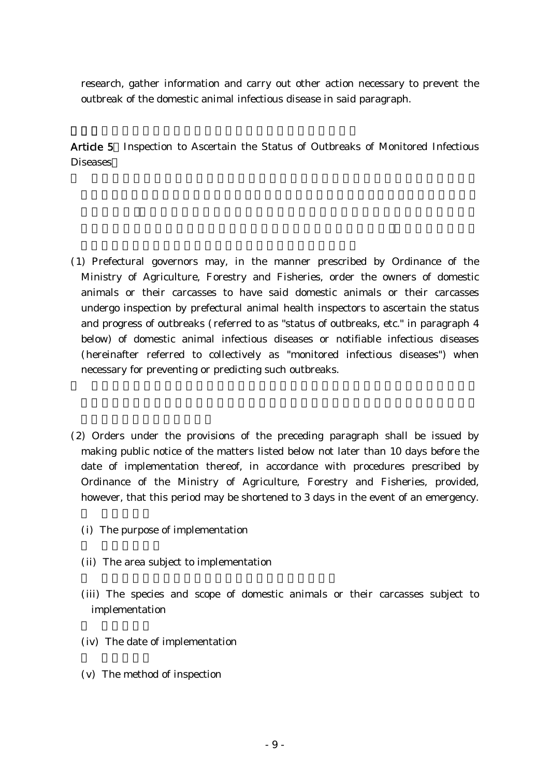research, gather information and carry out other action necessary to prevent the outbreak of the domestic animal infectious disease in said paragraph.

Article 5 Inspection to Ascertain the Status of Outbreaks of Monitored Infectious Diseases

- ( )1 Prefectural governors may, in the manner prescribed by Ordinance of the Ministry of Agriculture, Forestry and Fisheries, order the owners of domestic animals or their carcasses to have said domestic animals or their carcasses undergo inspection by prefectural animal health inspectors to ascertain the status and progress of outbreaks ( referred to as "status of outbreaks, etc." in paragraph 4 below) of domestic animal infectious diseases or notifiable infectious diseases (hereinafter referred to collectively as "monitored infectious diseases") when necessary for preventing or predicting such outbreaks.
- (2) Orders under the provisions of the preceding paragraph shall be issued by making public notice of the matters listed below not later than 10 days before the date of implementation thereof, in accordance with procedures prescribed by Ordinance of the Ministry of Agriculture, Forestry and Fisheries, provided, however, that this period may be shortened to 3 days in the event of an emergency.
	- (i) The purpose of implementation
	- (ii) The area subject to implementation
	- (iii) The species and scope of domestic animals or their carcasses subject to implementation
	- (iv) The date of implementation
	- $(v)$  The method of inspection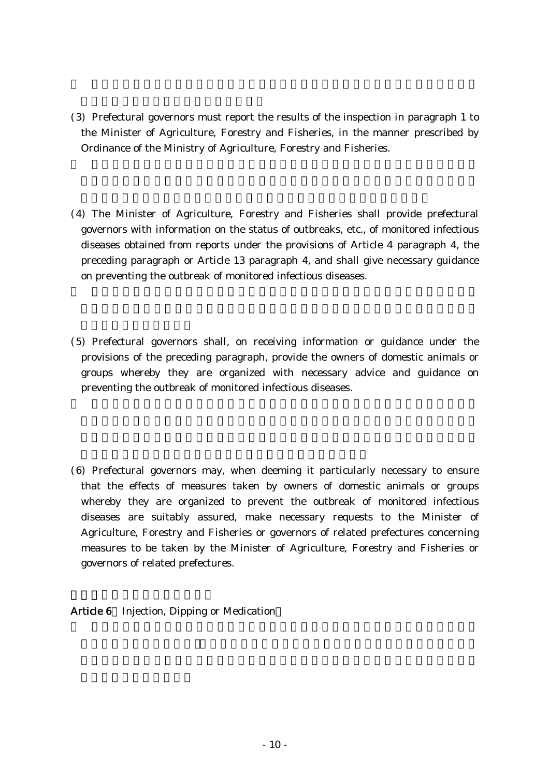- ( )3 Prefectural governors must report the results of the inspection in paragraph 1 to the Minister of Agriculture, Forestry and Fisheries, in the manner prescribed by Ordinance of the Ministry of Agriculture, Forestry and Fisheries.
- (4) The Minister of Agriculture, Forestry and Fisheries shall provide prefectural governors with information on the status of outbreaks, etc., of monitored infectious diseases obtained from reports under the provisions of Article 4 paragraph 4, the preceding paragraph or Article 13 paragraph 4, and shall give necessary guidance on preventing the outbreak of monitored infectious diseases.
- (5) Prefectural governors shall, on receiving information or guidance under the provisions of the preceding paragraph, provide the owners of domestic animals or groups whereby they are organized with necessary advice and guidance on preventing the outbreak of monitored infectious diseases.
- (6) Prefectural governors may, when deeming it particularly necessary to ensure that the effects of measures taken by owners of domestic animals or groups whereby they are organized to prevent the outbreak of monitored infectious diseases are suitably assured, make necessary requests to the Minister of Agriculture, Forestry and Fisheries or governors of related prefectures concerning measures to be taken by the Minister of Agriculture, Forestry and Fisheries or governors of related prefectures.
- Article 6 Injection, Dipping or Medication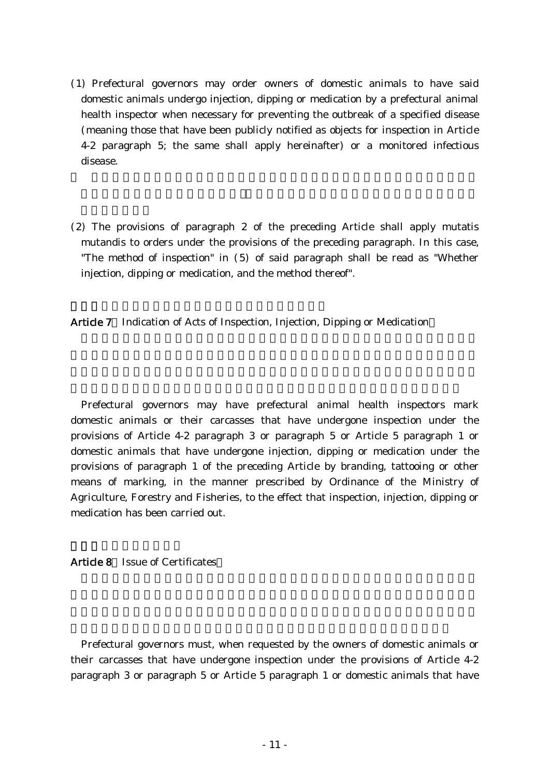- ( )1 Prefectural governors may order owners of domestic animals to have said domestic animals undergo injection, dipping or medication by a prefectural animal health inspector when necessary for preventing the outbreak of a specified disease (meaning those that have been publicly notified as objects for inspection in Article 4-2 paragraph 5; the same shall apply hereinafter) or a monitored infectious disease.
- $(2)$  The provisions of paragraph 2 of the preceding Article shall apply mutatis mutandis to orders under the provisions of the preceding paragraph. In this case, "The method of inspection" in  $(5)$  of said paragraph shall be read as "Whether injection, dipping or medication, and the method thereof".

Article 7 Indication of Acts of Inspection, Injection, Dipping or Medication

Prefectural governors may have prefectural animal health inspectors mark domestic animals or their carcasses that have undergone inspection under the provisions of Article 4-2 paragraph 3 or paragraph 5 or Article 5 paragraph 1 or domestic animals that have undergone injection, dipping or medication under the provisions of paragraph 1 of the preceding Article by branding, tattooing or other means of marking, in the manner prescribed by Ordinance of the Ministry of Agriculture, Forestry and Fisheries, to the effect that inspection, injection, dipping or medication has been carried out.

### Article 8 Issue of Certificates

Prefectural governors must, when requested by the owners of domestic animals or their carcasses that have undergone inspection under the provisions of Article 4-2 paragraph 3 or paragraph 5 or Article 5 paragraph 1 or domestic animals that have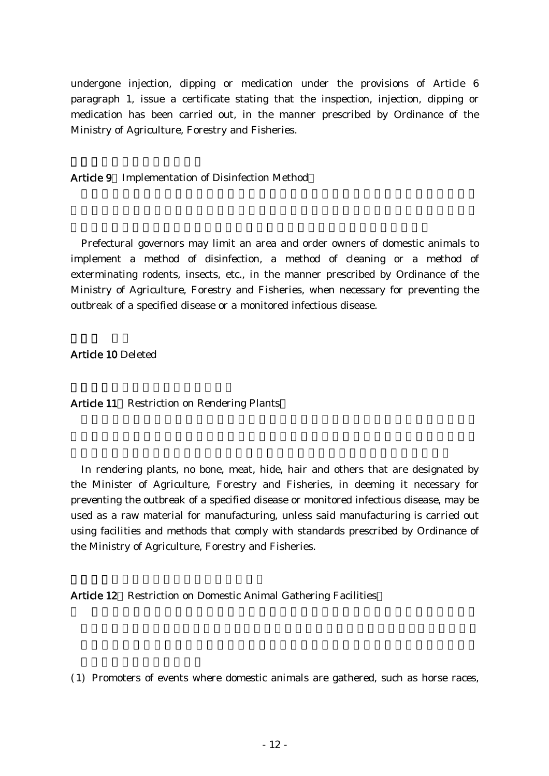undergone injection, dipping or medication under the provisions of Article 6 paragraph 1, issue a certificate stating that the inspection, injection, dipping or medication has been carried out, in the manner prescribed by Ordinance of the Ministry of Agriculture, Forestry and Fisheries.

Article 9 Implementation of Disinfection Method

Prefectural governors may limit an area and order owners of domestic animals to implement a method of disinfection, a method of cleaning or a method of exterminating rodents, insects, etc., in the manner prescribed by Ordinance of the Ministry of Agriculture, Forestry and Fisheries, when necessary for preventing the outbreak of a specified disease or a monitored infectious disease.

Article 10 Deleted

Article 11 Restriction on Rendering Plants

In rendering plants, no bone, meat, hide, hair and others that are designated by the Minister of Agriculture, Forestry and Fisheries, in deeming it necessary for preventing the outbreak of a specified disease or monitored infectious disease, may be used as a raw material for manufacturing, unless said manufacturing is carried out using facilities and methods that comply with standards prescribed by Ordinance of the Ministry of Agriculture, Forestry and Fisheries.

Article 12 Restriction on Domestic Animal Gathering Facilities

( )1 Promoters of events where domestic animals are gathered, such as horse races,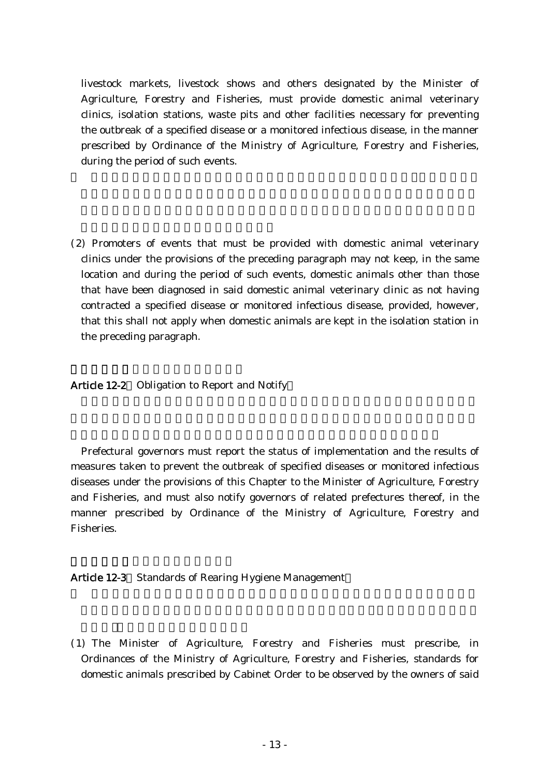livestock markets, livestock shows and others designated by the Minister of Agriculture, Forestry and Fisheries, must provide domestic animal veterinary clinics, isolation stations, waste pits and other facilities necessary for preventing the outbreak of a specified disease or a monitored infectious disease, in the manner prescribed by Ordinance of the Ministry of Agriculture, Forestry and Fisheries, during the period of such events.

(2) Promoters of events that must be provided with domestic animal veterinary clinics under the provisions of the preceding paragraph may not keep, in the same location and during the period of such events, domestic animals other than those that have been diagnosed in said domestic animal veterinary clinic as not having contracted a specified disease or monitored infectious disease, provided, however, that this shall not apply when domestic animals are kept in the isolation station in the preceding paragraph.

Article 12-2 Obligation to Report and Notify

Prefectural governors must report the status of implementation and the results of measures taken to prevent the outbreak of specified diseases or monitored infectious diseases under the provisions of this Chapter to the Minister of Agriculture, Forestry and Fisheries, and must also notify governors of related prefectures thereof, in the manner prescribed by Ordinance of the Ministry of Agriculture, Forestry and Fisheries.

Article 12-3 Standards of Rearing Hygiene Management

( )1 The Minister of Agriculture, Forestry and Fisheries must prescribe, in Ordinances of the Ministry of Agriculture, Forestry and Fisheries, standards for domestic animals prescribed by Cabinet Order to be observed by the owners of said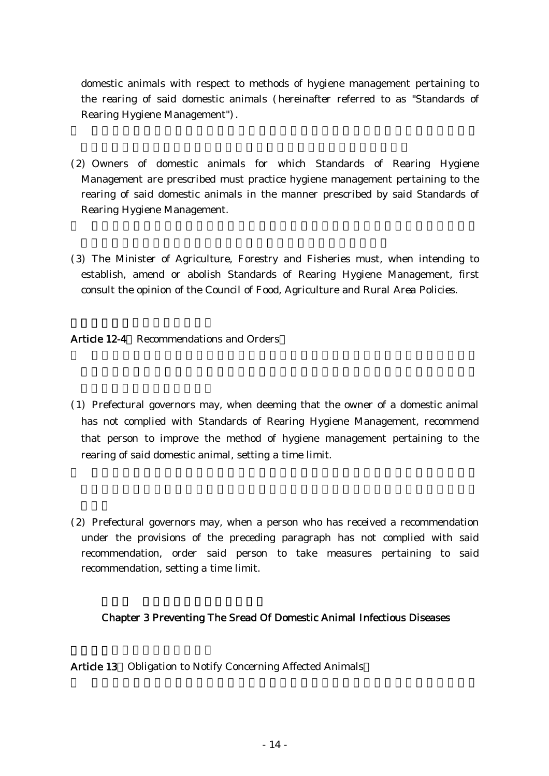domestic animals with respect to methods of hygiene management pertaining to the rearing of said domestic animals (hereinafter referred to as "Standards of Rearing Hygiene Management").

- (2) Owners of domestic animals for which Standards of Rearing Hygiene Management are prescribed must practice hygiene management pertaining to the rearing of said domestic animals in the manner prescribed by said Standards of Rearing Hygiene Management.
- (3) The Minister of Agriculture, Forestry and Fisheries must, when intending to establish, amend or abolish Standards of Rearing Hygiene Management, first consult the opinion of the Council of Food, Agriculture and Rural Area Policies.

Article 12-4 Recommendations and Orders

- ( )1 Prefectural governors may, when deeming that the owner of a domestic animal has not complied with Standards of Rearing Hygiene Management, recommend that person to improve the method of hygiene management pertaining to the rearing of said domestic animal, setting a time limit.
- (2) Prefectural governors may, when a person who has received a recommendation under the provisions of the preceding paragraph has not complied with said recommendation, order said person to take measures pertaining to said recommendation, setting a time limit.

# Chapter 3 Preventing The Sread Of Domestic Animal Infectious Diseases

Article 13 Obligation to Notify Concerning Affected Animals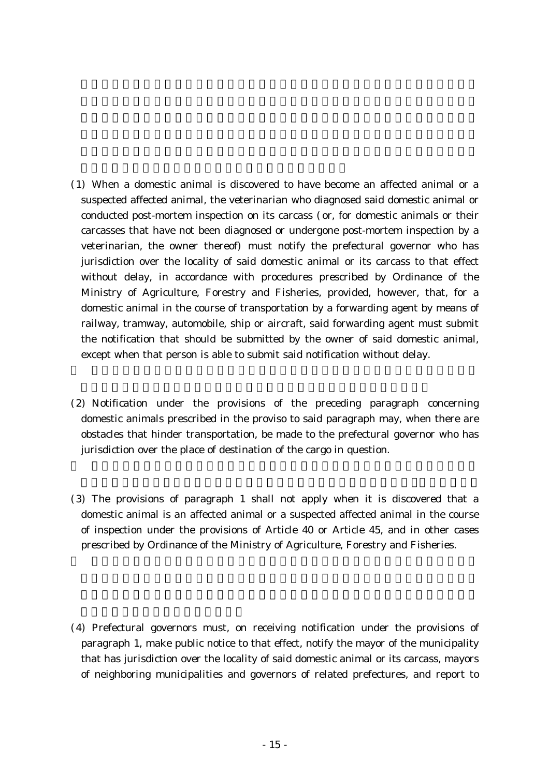- ( )1 When a domestic animal is discovered to have become an affected animal or a suspected affected animal, the veterinarian who diagnosed said domestic animal or conducted post-mortem inspection on its carcass (or, for domestic animals or their carcasses that have not been diagnosed or undergone post-mortem inspection by a veterinarian, the owner thereof) must notify the prefectural governor who has jurisdiction over the locality of said domestic animal or its carcass to that effect without delay, in accordance with procedures prescribed by Ordinance of the Ministry of Agriculture, Forestry and Fisheries, provided, however, that, for a domestic animal in the course of transportation by a forwarding agent by means of railway, tramway, automobile, ship or aircraft, said forwarding agent must submit the notification that should be submitted by the owner of said domestic animal, except when that person is able to submit said notification without delay.
- (2) Notification under the provisions of the preceding paragraph concerning domestic animals prescribed in the proviso to said paragraph may, when there are obstacles that hinder transportation, be made to the prefectural governor who has jurisdiction over the place of destination of the cargo in question.
- (3) The provisions of paragraph 1 shall not apply when it is discovered that a domestic animal is an affected animal or a suspected affected animal in the course of inspection under the provisions of Article 40 or Article 45, and in other cases prescribed by Ordinance of the Ministry of Agriculture, Forestry and Fisheries.
- (4) Prefectural governors must, on receiving notification under the provisions of paragraph 1, make public notice to that effect, notify the mayor of the municipality that has jurisdiction over the locality of said domestic animal or its carcass, mayors of neighboring municipalities and governors of related prefectures, and report to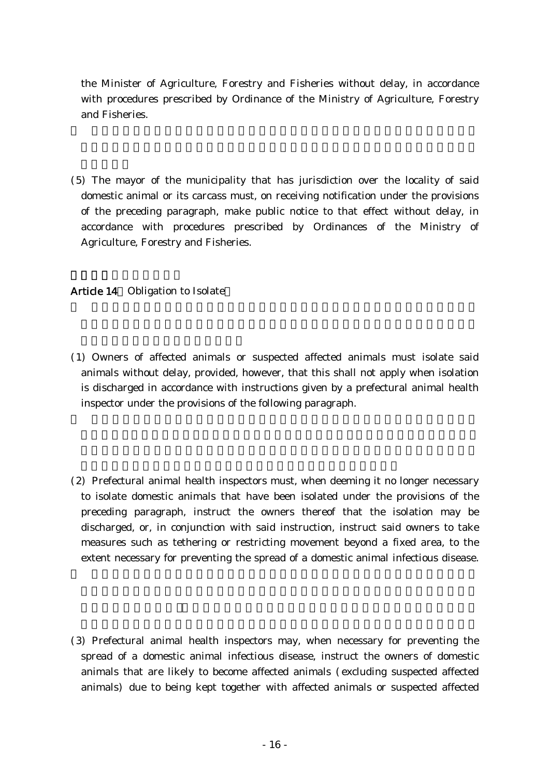the Minister of Agriculture, Forestry and Fisheries without delay, in accordance with procedures prescribed by Ordinance of the Ministry of Agriculture, Forestry and Fisheries.

(5) The mayor of the municipality that has jurisdiction over the locality of said domestic animal or its carcass must, on receiving notification under the provisions of the preceding paragraph, make public notice to that effect without delay, in accordance with procedures prescribed by Ordinances of the Ministry of Agriculture, Forestry and Fisheries.

# Article 14 Obligation to Isolate

- ( )1 Owners of affected animals or suspected affected animals must isolate said animals without delay, provided, however, that this shall not apply when isolation is discharged in accordance with instructions given by a prefectural animal health inspector under the provisions of the following paragraph.
- (2) Prefectural animal health inspectors must, when deeming it no longer necessary to isolate domestic animals that have been isolated under the provisions of the preceding paragraph, instruct the owners thereof that the isolation may be discharged, or, in conjunction with said instruction, instruct said owners to take measures such as tethering or restricting movement beyond a fixed area, to the extent necessary for preventing the spread of a domestic animal infectious disease.
- (3) Prefectural animal health inspectors may, when necessary for preventing the spread of a domestic animal infectious disease, instruct the owners of domestic animals that are likely to become affected animals (excluding suspected affected animals) due to being kept together with affected animals or suspected affected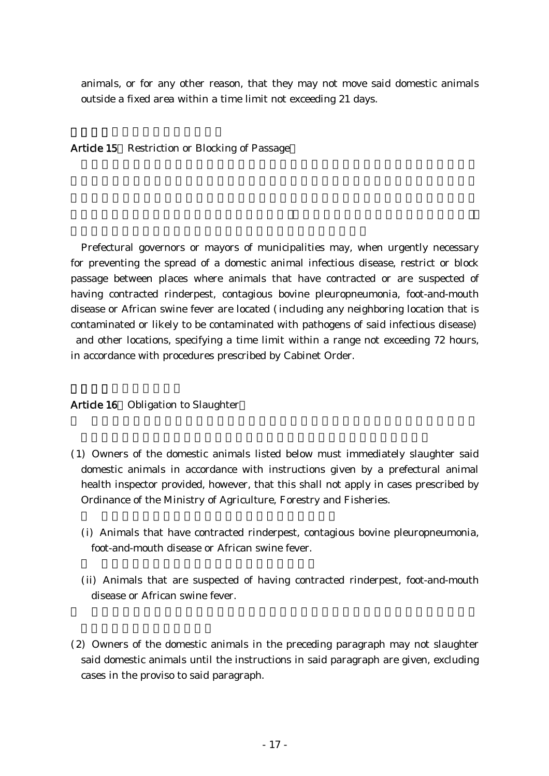animals, or for any other reason, that they may not move said domestic animals outside a fixed area within a time limit not exceeding 21 days.

Article 15 Restriction or Blocking of Passage

Prefectural governors or mayors of municipalities may, when urgently necessary for preventing the spread of a domestic animal infectious disease, restrict or block passage between places where animals that have contracted or are suspected of having contracted rinderpest, contagious bovine pleuropneumonia, foot-and-mouth disease or African swine fever are located (including any neighboring location that is contaminated or likely to be contaminated with pathogens of said infectious disease) and other locations, specifying a time limit within a range not exceeding 72 hours, in accordance with procedures prescribed by Cabinet Order.

#### Article 16 Obligation to Slaughter

- ( )1 Owners of the domestic animals listed below must immediately slaughter said domestic animals in accordance with instructions given by a prefectural animal health inspector provided, however, that this shall not apply in cases prescribed by Ordinance of the Ministry of Agriculture, Forestry and Fisheries.
	- (i) Animals that have contracted rinderpest, contagious bovine pleuropneumonia, foot-and-mouth disease or African swine fever.
	- (ii) Animals that are suspected of having contracted rinderpest, foot-and-mouth disease or African swine fever.
- $(2)$  Owners of the domestic animals in the preceding paragraph may not slaughter said domestic animals until the instructions in said paragraph are given, excluding cases in the proviso to said paragraph.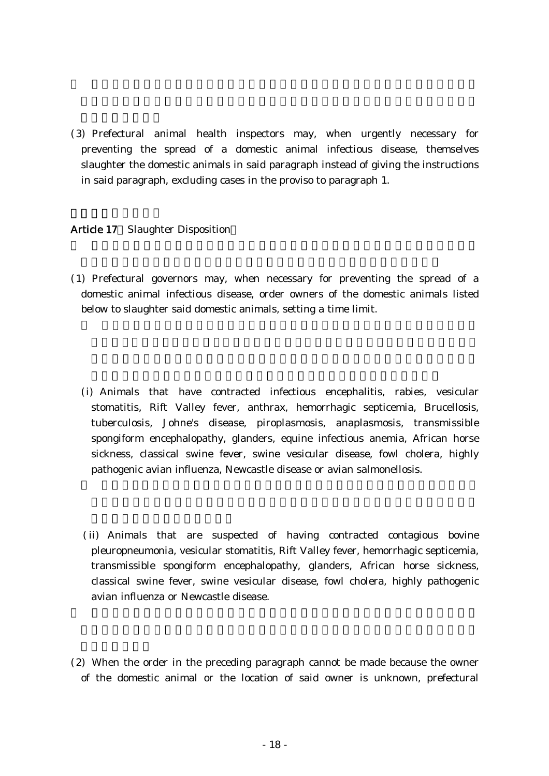(3) Prefectural animal health inspectors may, when urgently necessary for preventing the spread of a domestic animal infectious disease, themselves slaughter the domestic animals in said paragraph instead of giving the instructions in said paragraph, excluding cases in the proviso to paragraph 1.

### Article 17 Slaughter Disposition

- ( )1 Prefectural governors may, when necessary for preventing the spread of a domestic animal infectious disease, order owners of the domestic animals listed below to slaughter said domestic animals, setting a time limit.
	- (i) Animals that have contracted infectious encephalitis, rabies, vesicular stomatitis, Rift Valley fever, anthrax, hemorrhagic septicemia, Brucellosis, tuberculosis, Johne's disease, piroplasmosis, anaplasmosis, transmissible spongiform encephalopathy, glanders, equine infectious anemia, African horse sickness, classical swine fever, swine vesicular disease, fowl cholera, highly pathogenic avian influenza, Newcastle disease or avian salmonellosis.
	- (ii) Animals that are suspected of having contracted contagious bovine pleuropneumonia, vesicular stomatitis, Rift Valley fever, hemorrhagic septicemia, transmissible spongiform encephalopathy, glanders, African horse sickness, classical swine fever, swine vesicular disease, fowl cholera, highly pathogenic avian influenza or Newcastle disease.
- (2) When the order in the preceding paragraph cannot be made because the owner of the domestic animal or the location of said owner is unknown, prefectural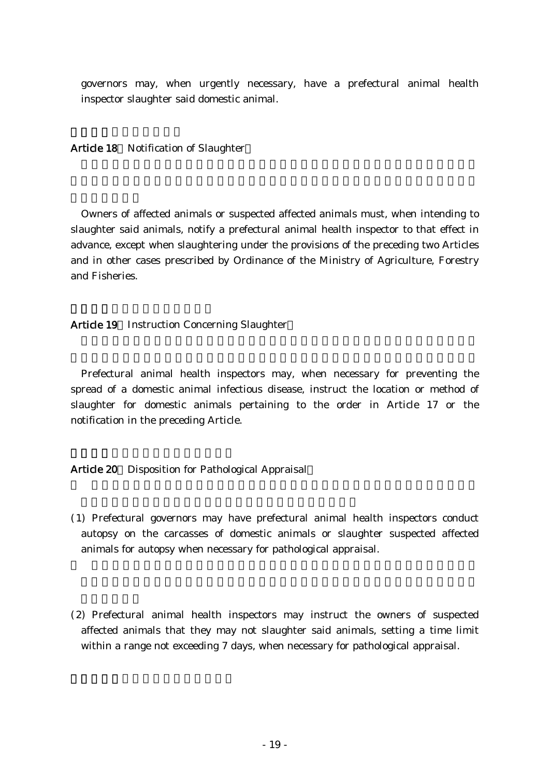governors may, when urgently necessary, have a prefectural animal health inspector slaughter said domestic animal.

Article 18 Notification of Slaughter

Owners of affected animals or suspected affected animals must, when intending to slaughter said animals, notify a prefectural animal health inspector to that effect in advance, except when slaughtering under the provisions of the preceding two Articles and in other cases prescribed by Ordinance of the Ministry of Agriculture, Forestry and Fisheries.

Article 19 Instruction Concerning Slaughter

Prefectural animal health inspectors may, when necessary for preventing the spread of a domestic animal infectious disease, instruct the location or method of slaughter for domestic animals pertaining to the order in Article 17 or the notification in the preceding Article.

Article 20 Disposition for Pathological Appraisal

- ( )1 Prefectural governors may have prefectural animal health inspectors conduct autopsy on the carcasses of domestic animals or slaughter suspected affected animals for autopsy when necessary for pathological appraisal.
- (2) Prefectural animal health inspectors may instruct the owners of suspected affected animals that they may not slaughter said animals, setting a time limit within a range not exceeding 7 days, when necessary for pathological appraisal.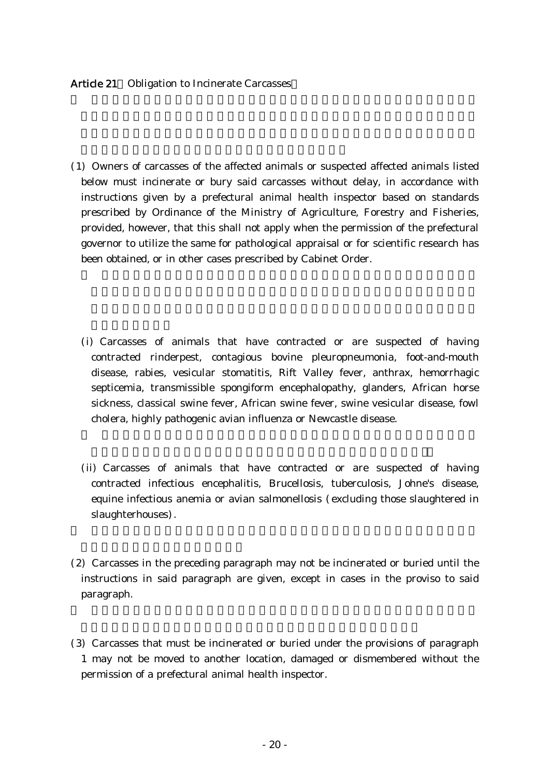### Article 21 Obligation to Incinerate Carcasses

- ( )1 Owners of carcasses of the affected animals or suspected affected animals listed below must incinerate or bury said carcasses without delay, in accordance with instructions given by a prefectural animal health inspector based on standards prescribed by Ordinance of the Ministry of Agriculture, Forestry and Fisheries, provided, however, that this shall not apply when the permission of the prefectural governor to utilize the same for pathological appraisal or for scientific research has been obtained, or in other cases prescribed by Cabinet Order.
	- (i) Carcasses of animals that have contracted or are suspected of having contracted rinderpest, contagious bovine pleuropneumonia, foot-and-mouth disease, rabies, vesicular stomatitis, Rift Valley fever, anthrax, hemorrhagic septicemia, transmissible spongiform encephalopathy, glanders, African horse sickness, classical swine fever, African swine fever, swine vesicular disease, fowl cholera, highly pathogenic avian influenza or Newcastle disease.
	- (ii) Carcasses of animals that have contracted or are suspected of having contracted infectious encephalitis, Brucellosis, tuberculosis, Johne's disease, equine infectious anemia or avian salmonellosis (excluding those slaughtered in slaughterhouses.
- $(2)$  Carcasses in the preceding paragraph may not be incinerated or buried until the instructions in said paragraph are given, except in cases in the proviso to said paragraph.
- (3) Carcasses that must be incinerated or buried under the provisions of paragraph 1 may not be moved to another location, damaged or dismembered without the permission of a prefectural animal health inspector.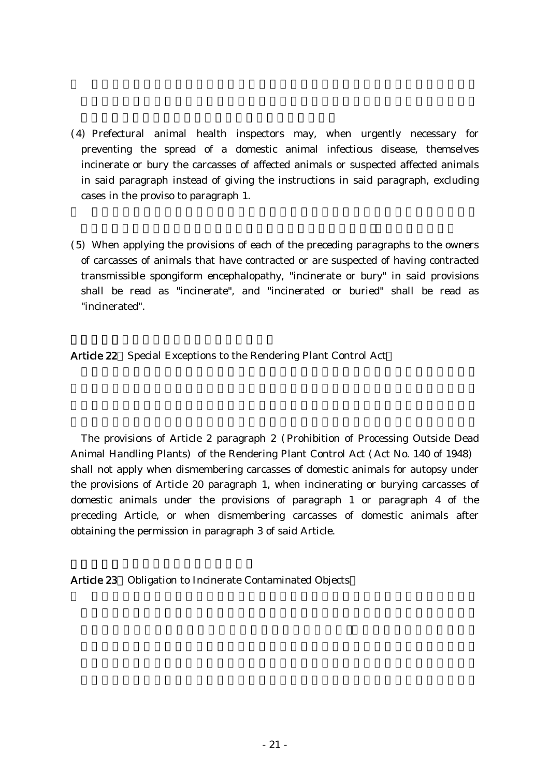- (4) Prefectural animal health inspectors may, when urgently necessary for preventing the spread of a domestic animal infectious disease, themselves incinerate or bury the carcasses of affected animals or suspected affected animals in said paragraph instead of giving the instructions in said paragraph, excluding cases in the proviso to paragraph 1.
- (5) When applying the provisions of each of the preceding paragraphs to the owners of carcasses of animals that have contracted or are suspected of having contracted transmissible spongiform encephalopathy, "incinerate or bury" in said provisions shall be read as "incinerate", and "incinerated or buried" shall be read as "incinerated".

Article 22 Special Exceptions to the Rendering Plant Control Act

The provisions of Article 2 paragraph 2 ( Prohibition of Processing Outside Dead Animal Handling Plants) of the Rendering Plant Control Act (Act No. 140 of 1948) shall not apply when dismembering carcasses of domestic animals for autopsy under the provisions of Article 20 paragraph 1, when incinerating or burying carcasses of domestic animals under the provisions of paragraph 1 or paragraph 4 of the preceding Article, or when dismembering carcasses of domestic animals after obtaining the permission in paragraph 3 of said Article.

Article 23 Obligation to Incinerate Contaminated Objects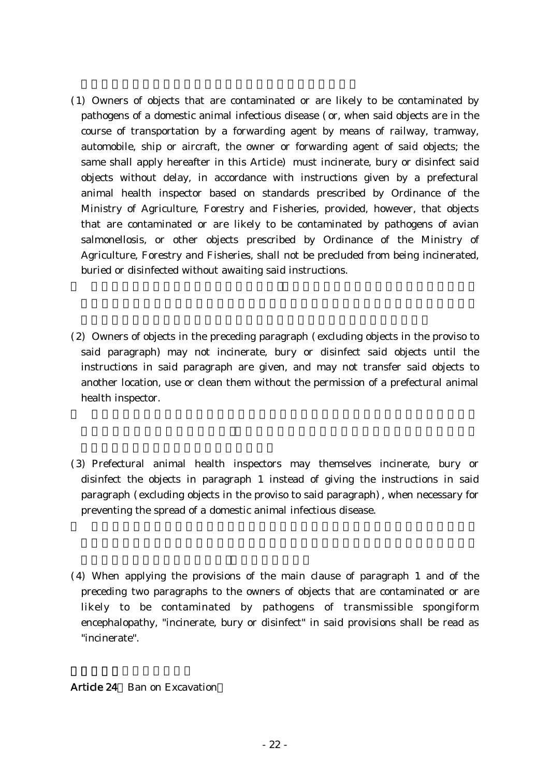- ( )1 Owners of objects that are contaminated or are likely to be contaminated by pathogens of a domestic animal infectious disease (or, when said objects are in the course of transportation by a forwarding agent by means of railway, tramway, automobile, ship or aircraft, the owner or forwarding agent of said objects; the same shall apply hereafter in this Article) must incinerate, bury or disinfect said objects without delay, in accordance with instructions given by a prefectural animal health inspector based on standards prescribed by Ordinance of the Ministry of Agriculture, Forestry and Fisheries, provided, however, that objects that are contaminated or are likely to be contaminated by pathogens of avian salmonellosis, or other objects prescribed by Ordinance of the Ministry of Agriculture, Forestry and Fisheries, shall not be precluded from being incinerated, buried or disinfected without awaiting said instructions.
- $(2)$  Owners of objects in the preceding paragraph (excluding objects in the proviso to said paragraph) may not incinerate, bury or disinfect said objects until the instructions in said paragraph are given, and may not transfer said objects to another location, use or clean them without the permission of a prefectural animal health inspector.
- (3) Prefectural animal health inspectors may themselves incinerate, bury or disinfect the objects in paragraph 1 instead of giving the instructions in said paragraph (excluding objects in the proviso to said paragraph), when necessary for preventing the spread of a domestic animal infectious disease.
- $(4)$  When applying the provisions of the main clause of paragraph 1 and of the preceding two paragraphs to the owners of objects that are contaminated or are likely to be contaminated by pathogens of transmissible spongiform encephalopathy, "incinerate, bury or disinfect" in said provisions shall be read as "incinerate".

# Article 24 Ban on Excavation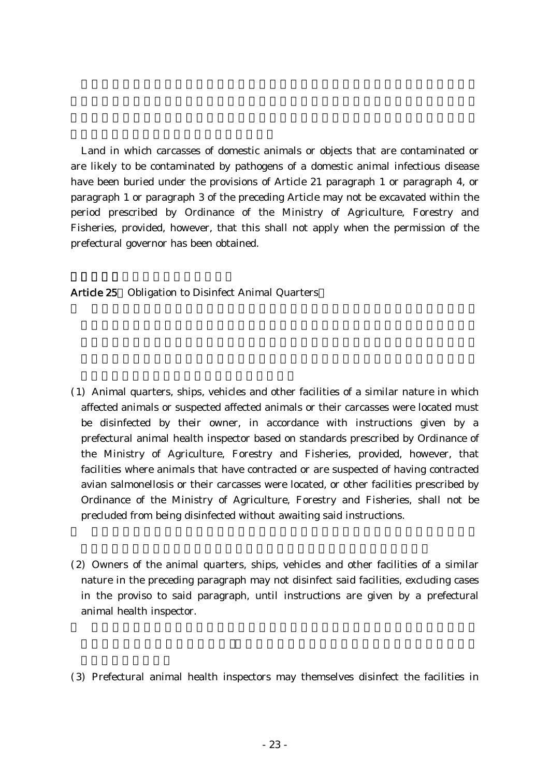Land in which carcasses of domestic animals or objects that are contaminated or are likely to be contaminated by pathogens of a domestic animal infectious disease have been buried under the provisions of Article 21 paragraph 1 or paragraph 4, or paragraph 1 or paragraph 3 of the preceding Article may not be excavated within the period prescribed by Ordinance of the Ministry of Agriculture, Forestry and Fisheries, provided, however, that this shall not apply when the permission of the prefectural governor has been obtained.

Article 25 Obligation to Disinfect Animal Quarters

- ( )1 Animal quarters, ships, vehicles and other facilities of a similar nature in which affected animals or suspected affected animals or their carcasses were located must be disinfected by their owner, in accordance with instructions given by a prefectural animal health inspector based on standards prescribed by Ordinance of the Ministry of Agriculture, Forestry and Fisheries, provided, however, that facilities where animals that have contracted or are suspected of having contracted avian salmonellosis or their carcasses were located, or other facilities prescribed by Ordinance of the Ministry of Agriculture, Forestry and Fisheries, shall not be precluded from being disinfected without awaiting said instructions.
- $(2)$  Owners of the animal quarters, ships, vehicles and other facilities of a similar nature in the preceding paragraph may not disinfect said facilities, excluding cases in the proviso to said paragraph, until instructions are given by a prefectural animal health inspector.
- (3) Prefectural animal health inspectors may themselves disinfect the facilities in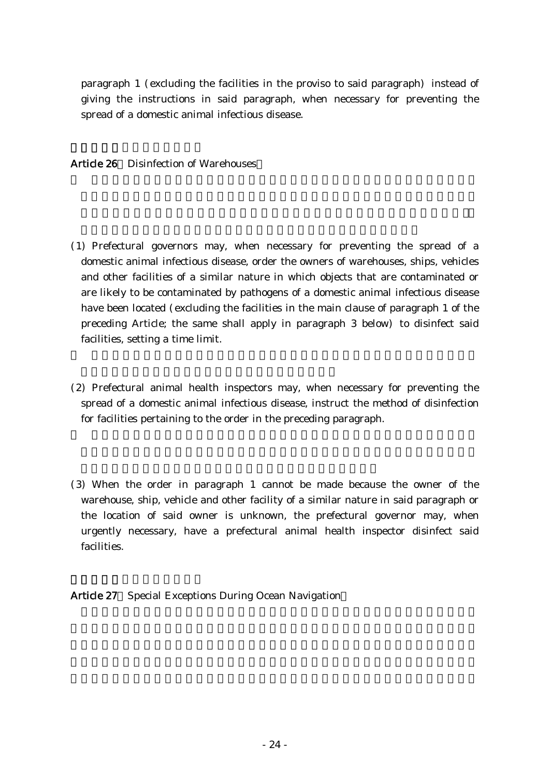paragraph  $1$  (excluding the facilities in the proviso to said paragraph) instead of giving the instructions in said paragraph, when necessary for preventing the spread of a domestic animal infectious disease.

Article 26 Disinfection of Warehouses

- (1) Prefectural governors may, when necessary for preventing the spread of a domestic animal infectious disease, order the owners of warehouses, ships, vehicles and other facilities of a similar nature in which objects that are contaminated or are likely to be contaminated by pathogens of a domestic animal infectious disease have been located (excluding the facilities in the main clause of paragraph 1 of the preceding Article; the same shall apply in paragraph 3 below) to disinfect said facilities, setting a time limit.
- (2) Prefectural animal health inspectors may, when necessary for preventing the spread of a domestic animal infectious disease, instruct the method of disinfection for facilities pertaining to the order in the preceding paragraph.
- (3) When the order in paragraph 1 cannot be made because the owner of the warehouse, ship, vehicle and other facility of a similar nature in said paragraph or the location of said owner is unknown, the prefectural governor may, when urgently necessary, have a prefectural animal health inspector disinfect said facilities.

Article 27 Special Exceptions During Ocean Navigation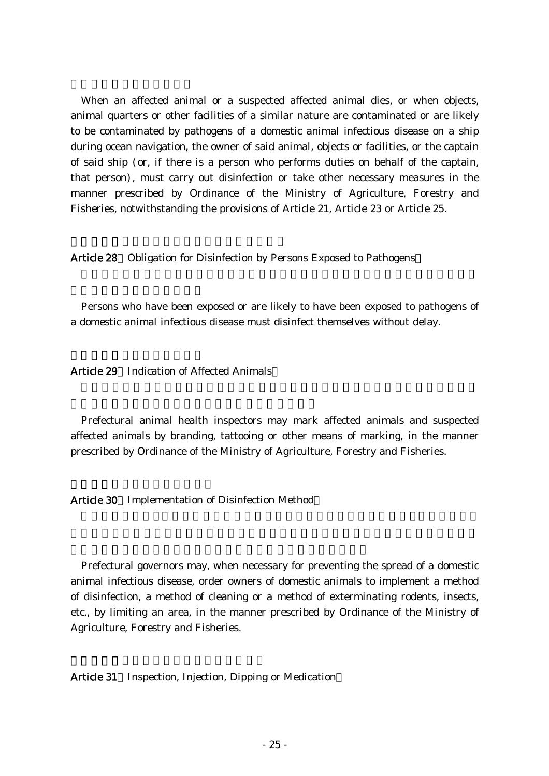When an affected animal or a suspected affected animal dies, or when objects, animal quarters or other facilities of a similar nature are contaminated or are likely to be contaminated by pathogens of a domestic animal infectious disease on a ship during ocean navigation, the owner of said animal, objects or facilities, or the captain of said ship (or, if there is a person who performs duties on behalf of the captain, that person), must carry out disinfection or take other necessary measures in the manner prescribed by Ordinance of the Ministry of Agriculture, Forestry and Fisheries, notwithstanding the provisions of Article 21, Article 23 or Article 25.

Article 28 Obligation for Disinfection by Persons Exposed to Pathogens

Persons who have been exposed or are likely to have been exposed to pathogens of a domestic animal infectious disease must disinfect themselves without delay.

Article 29 Indication of Affected Animals

Prefectural animal health inspectors may mark affected animals and suspected affected animals by branding, tattooing or other means of marking, in the manner prescribed by Ordinance of the Ministry of Agriculture, Forestry and Fisheries.

Article 30 Implementation of Disinfection Method

Prefectural governors may, when necessary for preventing the spread of a domestic animal infectious disease, order owners of domestic animals to implement a method of disinfection, a method of cleaning or a method of exterminating rodents, insects, etc., by limiting an area, in the manner prescribed by Ordinance of the Ministry of Agriculture, Forestry and Fisheries.

Article 31 Inspection, Injection, Dipping or Medication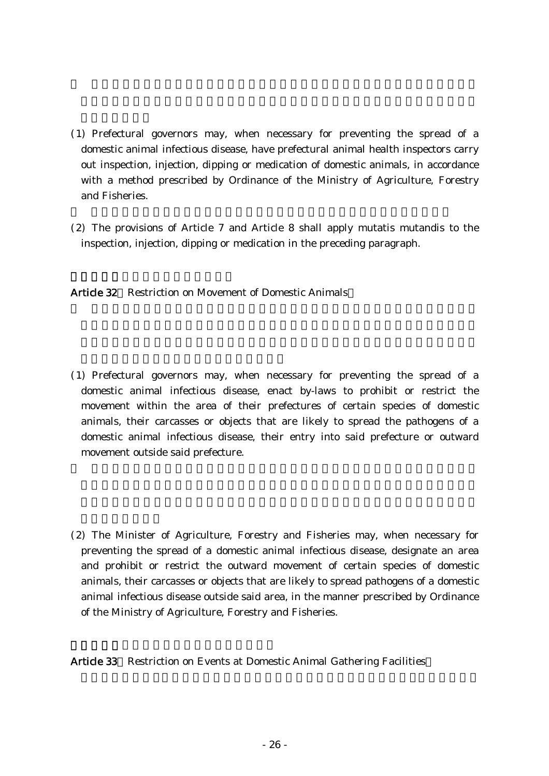- ( )1 Prefectural governors may, when necessary for preventing the spread of a domestic animal infectious disease, have prefectural animal health inspectors carry out inspection, injection, dipping or medication of domestic animals, in accordance with a method prescribed by Ordinance of the Ministry of Agriculture, Forestry and Fisheries.
- $(2)$  The provisions of Article 7 and Article 8 shall apply mutatis mutandis to the inspection, injection, dipping or medication in the preceding paragraph.

Article 32 Restriction on Movement of Domestic Animals

- ( )1 Prefectural governors may, when necessary for preventing the spread of a domestic animal infectious disease, enact by-laws to prohibit or restrict the movement within the area of their prefectures of certain species of domestic animals, their carcasses or objects that are likely to spread the pathogens of a domestic animal infectious disease, their entry into said prefecture or outward movement outside said prefecture.
- (2) The Minister of Agriculture, Forestry and Fisheries may, when necessary for preventing the spread of a domestic animal infectious disease, designate an area and prohibit or restrict the outward movement of certain species of domestic animals, their carcasses or objects that are likely to spread pathogens of a domestic animal infectious disease outside said area, in the manner prescribed by Ordinance of the Ministry of Agriculture, Forestry and Fisheries.

Article 33 Restriction on Events at Domestic Animal Gathering Facilities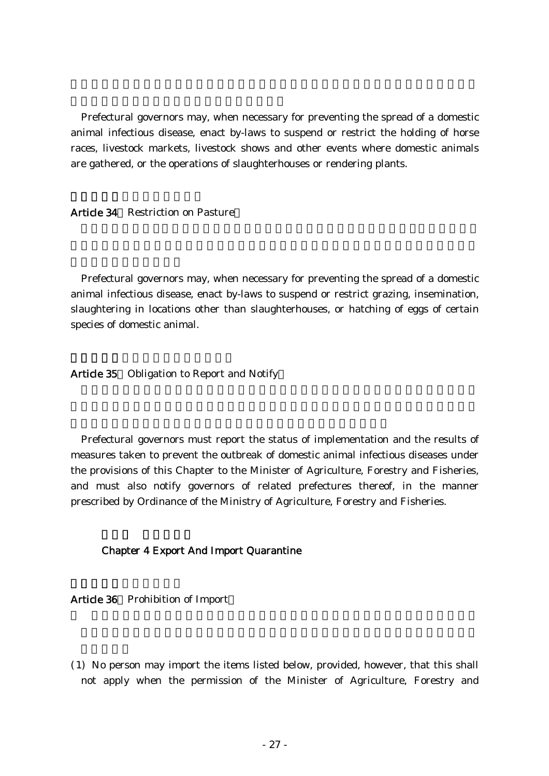Prefectural governors may, when necessary for preventing the spread of a domestic animal infectious disease, enact by-laws to suspend or restrict the holding of horse races, livestock markets, livestock shows and other events where domestic animals are gathered, or the operations of slaughterhouses or rendering plants.

Article 34 Restriction on Pasture

Prefectural governors may, when necessary for preventing the spread of a domestic animal infectious disease, enact by-laws to suspend or restrict grazing, insemination, slaughtering in locations other than slaughterhouses, or hatching of eggs of certain species of domestic animal.

Article 35 Obligation to Report and Notify

Prefectural governors must report the status of implementation and the results of measures taken to prevent the outbreak of domestic animal infectious diseases under the provisions of this Chapter to the Minister of Agriculture, Forestry and Fisheries, and must also notify governors of related prefectures thereof, in the manner prescribed by Ordinance of the Ministry of Agriculture, Forestry and Fisheries.

#### Chapter 4 Export And Import Quarantine

Article 36 Prohibition of Import

( )1 No person may import the items listed below, provided, however, that this shall not apply when the permission of the Minister of Agriculture, Forestry and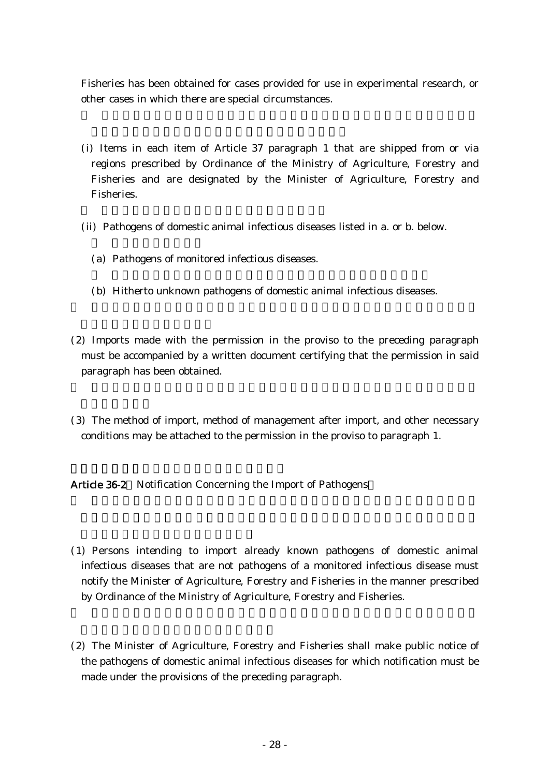Fisheries has been obtained for cases provided for use in experimental research, or other cases in which there are special circumstances.

- (i) Items in each item of Article 37 paragraph 1 that are shipped from or via regions prescribed by Ordinance of the Ministry of Agriculture, Forestry and Fisheries and are designated by the Minister of Agriculture, Forestry and Fisheries.
- (ii) Pathogens of domestic animal infectious diseases listed in a. or b. below.
	- (a) Pathogens of monitored infectious diseases.
	- (b) Hitherto unknown pathogens of domestic animal infectious diseases.
- $(2)$  Imports made with the permission in the proviso to the preceding paragraph must be accompanied by a written document certifying that the permission in said paragraph has been obtained.
- (3) The method of import, method of management after import, and other necessary conditions may be attached to the permission in the proviso to paragraph 1.

Article 36-2 Notification Concerning the Import of Pathogens

- ( )1 Persons intending to import already known pathogens of domestic animal infectious diseases that are not pathogens of a monitored infectious disease must notify the Minister of Agriculture, Forestry and Fisheries in the manner prescribed by Ordinance of the Ministry of Agriculture, Forestry and Fisheries.
- (2) The Minister of Agriculture, Forestry and Fisheries shall make public notice of the pathogens of domestic animal infectious diseases for which notification must be made under the provisions of the preceding paragraph.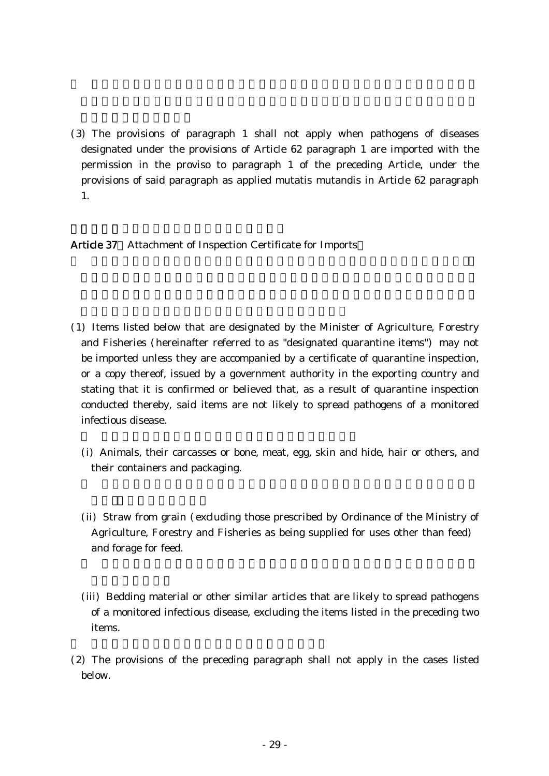(3) The provisions of paragraph 1 shall not apply when pathogens of diseases designated under the provisions of Article 62 paragraph 1 are imported with the permission in the proviso to paragraph 1 of the preceding Article, under the provisions of said paragraph as applied mutatis mutandis in Article 62 paragraph 1.

Article 37 Attachment of Inspection Certificate for Imports

- ( )1 Items listed below that are designated by the Minister of Agriculture, Forestry and Fisheries (hereinafter referred to as "designated quarantine items") may not be imported unless they are accompanied by a certificate of quarantine inspection, or a copy thereof, issued by a government authority in the exporting country and stating that it is confirmed or believed that, as a result of quarantine inspection conducted thereby, said items are not likely to spread pathogens of a monitored infectious disease.
	- (i) Animals, their carcasses or bone, meat, egg, skin and hide, hair or others, and their containers and packaging.
	- (ii) Straw from grain (excluding those prescribed by Ordinance of the Ministry of Agriculture, Forestry and Fisheries as being supplied for uses other than feed) and forage for feed.
	- (iii) Bedding material or other similar articles that are likely to spread pathogens of a monitored infectious disease, excluding the items listed in the preceding two items.
- $(2)$  The provisions of the preceding paragraph shall not apply in the cases listed below.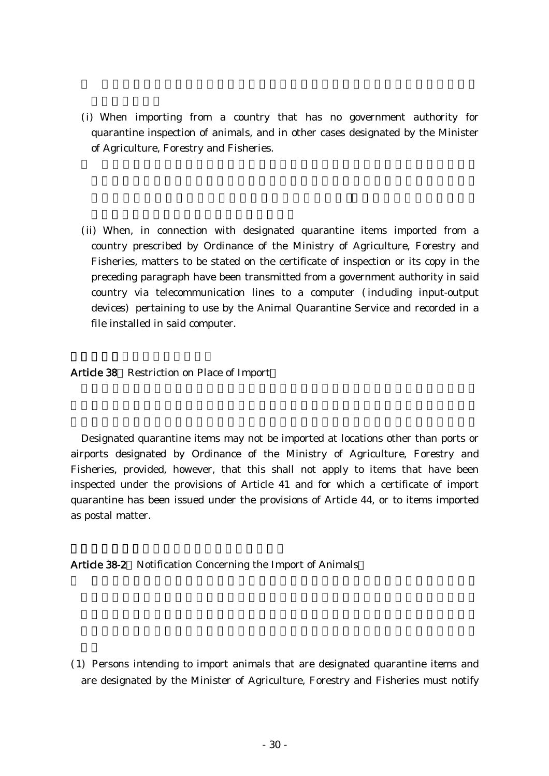- (i) When importing from a country that has no government authority for quarantine inspection of animals, and in other cases designated by the Minister of Agriculture, Forestry and Fisheries.
- (ii) When, in connection with designated quarantine items imported from a country prescribed by Ordinance of the Ministry of Agriculture, Forestry and Fisheries, matters to be stated on the certificate of inspection or its copy in the preceding paragraph have been transmitted from a government authority in said country via telecommunication lines to a computer (including input-output devices) pertaining to use by the Animal Quarantine Service and recorded in a file installed in said computer.

#### Article 38 Restriction on Place of Import

Designated quarantine items may not be imported at locations other than ports or airports designated by Ordinance of the Ministry of Agriculture, Forestry and Fisheries, provided, however, that this shall not apply to items that have been inspected under the provisions of Article 41 and for which a certificate of import quarantine has been issued under the provisions of Article 44, or to items imported as postal matter.

### Article 38-2 Notification Concerning the Import of Animals

( )1 Persons intending to import animals that are designated quarantine items and are designated by the Minister of Agriculture, Forestry and Fisheries must notify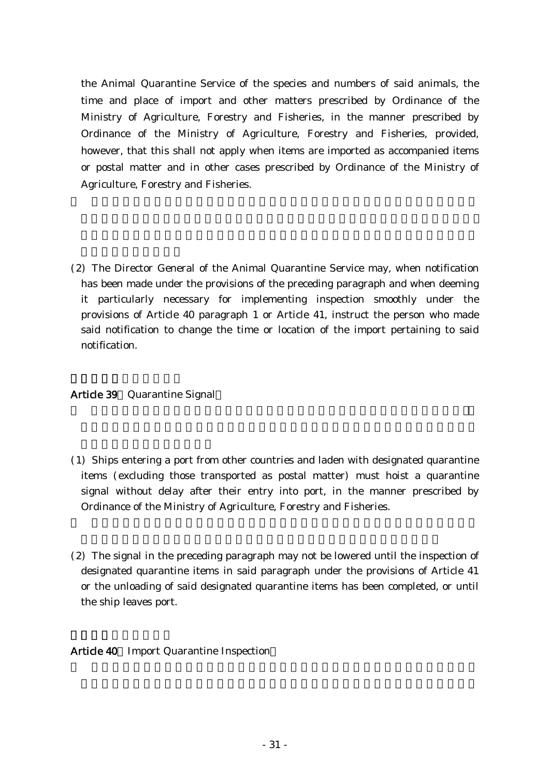the Animal Quarantine Service of the species and numbers of said animals, the time and place of import and other matters prescribed by Ordinance of the Ministry of Agriculture, Forestry and Fisheries, in the manner prescribed by Ordinance of the Ministry of Agriculture, Forestry and Fisheries, provided, however, that this shall not apply when items are imported as accompanied items or postal matter and in other cases prescribed by Ordinance of the Ministry of Agriculture, Forestry and Fisheries.

(2) The Director General of the Animal Quarantine Service may, when notification has been made under the provisions of the preceding paragraph and when deeming it particularly necessary for implementing inspection smoothly under the provisions of Article 40 paragraph 1 or Article 41, instruct the person who made said notification to change the time or location of the import pertaining to said notification.

# Article 39 Quarantine Signal

- ( )1 Ships entering a port from other countries and laden with designated quarantine items (excluding those transported as postal matter) must hoist a quarantine signal without delay after their entry into port, in the manner prescribed by Ordinance of the Ministry of Agriculture, Forestry and Fisheries.
- $(2)$  The signal in the preceding paragraph may not be lowered until the inspection of designated quarantine items in said paragraph under the provisions of Article 41 or the unloading of said designated quarantine items has been completed, or until the ship leaves port.

# Article 40 Import Quarantine Inspection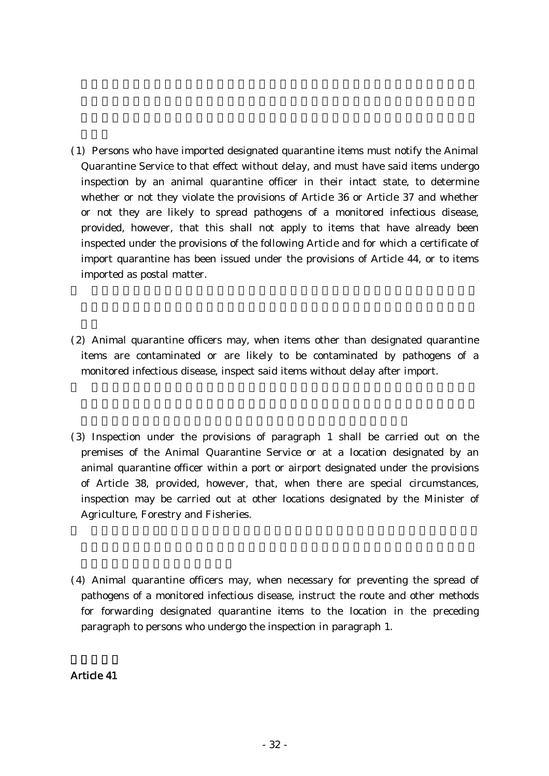- ( )1 Persons who have imported designated quarantine items must notify the Animal Quarantine Service to that effect without delay, and must have said items undergo inspection by an animal quarantine officer in their intact state, to determine whether or not they violate the provisions of Article 36 or Article 37 and whether or not they are likely to spread pathogens of a monitored infectious disease, provided, however, that this shall not apply to items that have already been inspected under the provisions of the following Article and for which a certificate of import quarantine has been issued under the provisions of Article 44, or to items imported as postal matter.
- $(2)$  Animal quarantine officers may, when items other than designated quarantine items are contaminated or are likely to be contaminated by pathogens of a monitored infectious disease, inspect said items without delay after import.
- ( )3 Inspection under the provisions of paragraph 1 shall be carried out on the premises of the Animal Quarantine Service or at a location designated by an animal quarantine officer within a port or airport designated under the provisions of Article 38, provided, however, that, when there are special circumstances, inspection may be carried out at other locations designated by the Minister of Agriculture, Forestry and Fisheries.
- (4) Animal quarantine officers may, when necessary for preventing the spread of pathogens of a monitored infectious disease, instruct the route and other methods for forwarding designated quarantine items to the location in the preceding paragraph to persons who undergo the inspection in paragraph 1.

# Article 41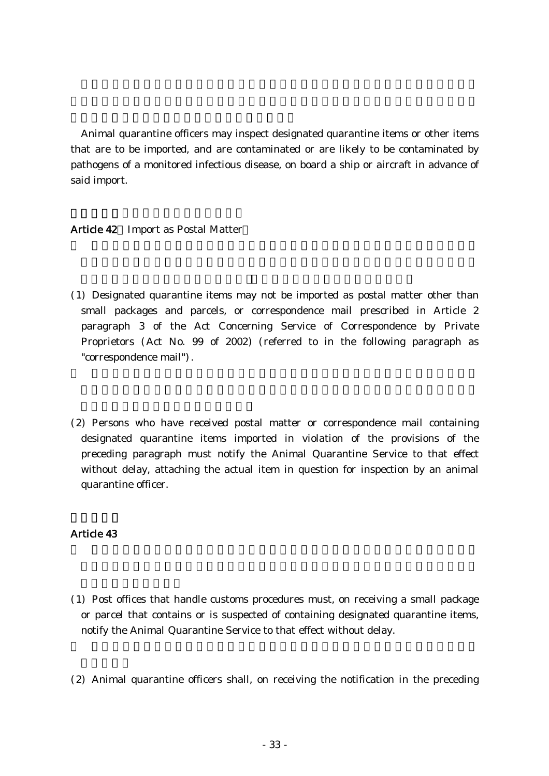Animal quarantine officers may inspect designated quarantine items or other items that are to be imported, and are contaminated or are likely to be contaminated by pathogens of a monitored infectious disease, on board a ship or aircraft in advance of said import.

# Article 42 Import as Postal Matter

- ( )1 Designated quarantine items may not be imported as postal matter other than small packages and parcels, or correspondence mail prescribed in Article 2 paragraph 3 of the Act Concerning Service of Correspondence by Private Proprietors (Act No. 99 of 2002) (referred to in the following paragraph as "correspondence mail").
- (2) Persons who have received postal matter or correspondence mail containing designated quarantine items imported in violation of the provisions of the preceding paragraph must notify the Animal Quarantine Service to that effect without delay, attaching the actual item in question for inspection by an animal quarantine officer.

# Article 43

- ( )1 Post offices that handle customs procedures must, on receiving a small package or parcel that contains or is suspected of containing designated quarantine items, notify the Animal Quarantine Service to that effect without delay.
- $(2)$  Animal quarantine officers shall, on receiving the notification in the preceding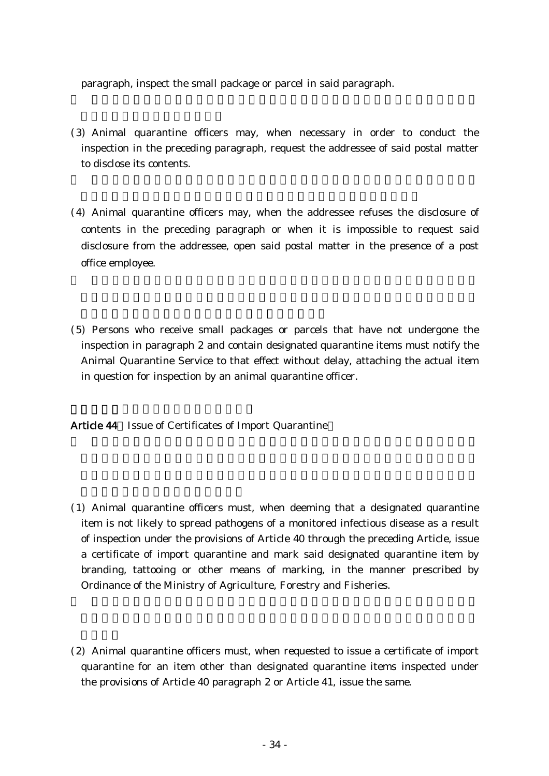paragraph, inspect the small package or parcel in said paragraph.

- (3) Animal quarantine officers may, when necessary in order to conduct the inspection in the preceding paragraph, request the addressee of said postal matter to disclose its contents.
- (4) Animal quarantine officers may, when the addressee refuses the disclosure of contents in the preceding paragraph or when it is impossible to request said disclosure from the addressee, open said postal matter in the presence of a post office employee.
- ( )5 Persons who receive small packages or parcels that have not undergone the inspection in paragraph 2 and contain designated quarantine items must notify the Animal Quarantine Service to that effect without delay, attaching the actual item in question for inspection by an animal quarantine officer.

Article 44 Issue of Certificates of Import Quarantine

- ( )1 Animal quarantine officers must, when deeming that a designated quarantine item is not likely to spread pathogens of a monitored infectious disease as a result of inspection under the provisions of Article 40 through the preceding Article, issue a certificate of import quarantine and mark said designated quarantine item by branding, tattooing or other means of marking, in the manner prescribed by Ordinance of the Ministry of Agriculture, Forestry and Fisheries.
- $(2)$  Animal quarantine officers must, when requested to issue a certificate of import quarantine for an item other than designated quarantine items inspected under the provisions of Article 40 paragraph 2 or Article 41, issue the same.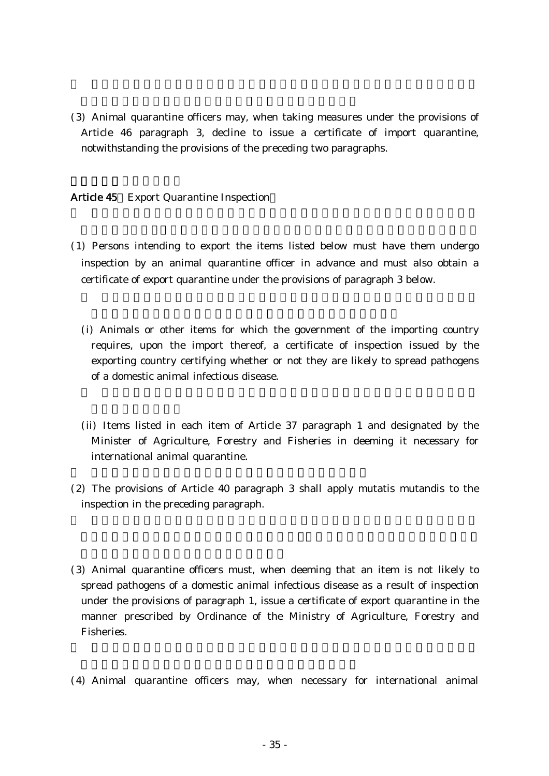(3) Animal quarantine officers may, when taking measures under the provisions of Article 46 paragraph 3, decline to issue a certificate of import quarantine, notwithstanding the provisions of the preceding two paragraphs.

### Article 45 Export Quarantine Inspection

- ( )1 Persons intending to export the items listed below must have them undergo inspection by an animal quarantine officer in advance and must also obtain a certificate of export quarantine under the provisions of paragraph 3 below.
	- (i) Animals or other items for which the government of the importing country requires, upon the import thereof, a certificate of inspection issued by the exporting country certifying whether or not they are likely to spread pathogens of a domestic animal infectious disease.
	- (ii) Items listed in each item of Article 37 paragraph 1 and designated by the Minister of Agriculture, Forestry and Fisheries in deeming it necessary for international animal quarantine.
- $(2)$  The provisions of Article 40 paragraph 3 shall apply mutatis mutandis to the inspection in the preceding paragraph.
- (3) Animal quarantine officers must, when deeming that an item is not likely to spread pathogens of a domestic animal infectious disease as a result of inspection under the provisions of paragraph 1, issue a certificate of export quarantine in the manner prescribed by Ordinance of the Ministry of Agriculture, Forestry and Fisheries.
- (4) Animal quarantine officers may, when necessary for international animal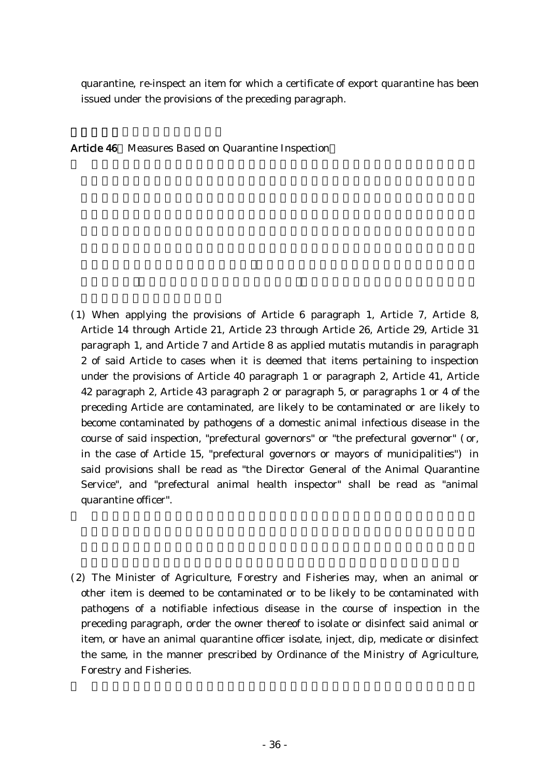quarantine, re-inspect an item for which a certificate of export quarantine has been issued under the provisions of the preceding paragraph.

Article 46 Measures Based on Quarantine Inspection

- ( )1 When applying the provisions of Article 6 paragraph 1, Article 7, Article 8, Article 14 through Article 21, Article 23 through Article 26, Article 29, Article 31 paragraph 1, and Article 7 and Article 8 as applied mutatis mutandis in paragraph 2 of said Article to cases when it is deemed that items pertaining to inspection under the provisions of Article 40 paragraph 1 or paragraph 2, Article 41, Article 42 paragraph 2, Article 43 paragraph 2 or paragraph 5, or paragraphs 1 or 4 of the preceding Article are contaminated, are likely to be contaminated or are likely to become contaminated by pathogens of a domestic animal infectious disease in the course of said inspection, "prefectural governors" or "the prefectural governor" (or, in the case of Article 15, "prefectural governors or mayors of municipalities" in said provisions shall be read as "the Director General of the Animal Quarantine Service", and "prefectural animal health inspector" shall be read as "animal quarantine officer".
- (2) The Minister of Agriculture, Forestry and Fisheries may, when an animal or other item is deemed to be contaminated or to be likely to be contaminated with pathogens of a notifiable infectious disease in the course of inspection in the preceding paragraph, order the owner thereof to isolate or disinfect said animal or item, or have an animal quarantine officer isolate, inject, dip, medicate or disinfect the same, in the manner prescribed by Ordinance of the Ministry of Agriculture, Forestry and Fisheries.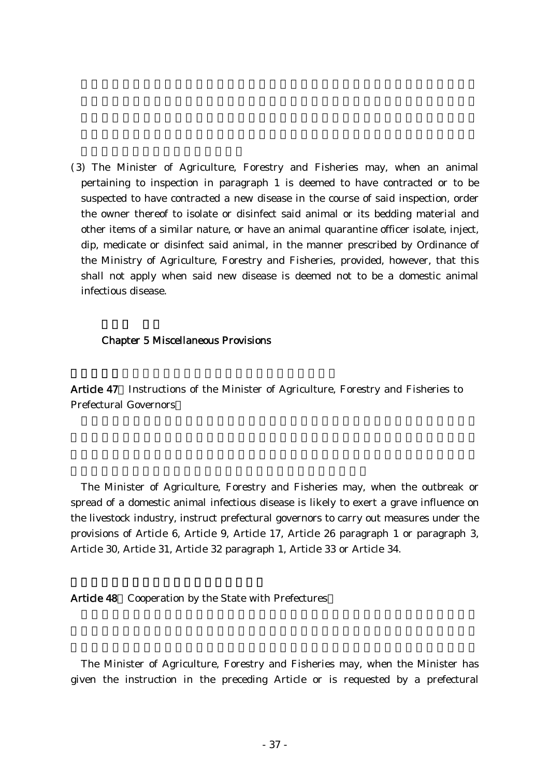(3) The Minister of Agriculture, Forestry and Fisheries may, when an animal pertaining to inspection in paragraph 1 is deemed to have contracted or to be suspected to have contracted a new disease in the course of said inspection, order the owner thereof to isolate or disinfect said animal or its bedding material and other items of a similar nature, or have an animal quarantine officer isolate, inject, dip, medicate or disinfect said animal, in the manner prescribed by Ordinance of the Ministry of Agriculture, Forestry and Fisheries, provided, however, that this shall not apply when said new disease is deemed not to be a domestic animal infectious disease.

#### Chapter 5 Miscellaneous Provisions

Article 47 Instructions of the Minister of Agriculture, Forestry and Fisheries to Prefectural Governors

The Minister of Agriculture, Forestry and Fisheries may, when the outbreak or spread of a domestic animal infectious disease is likely to exert a grave influence on the livestock industry, instruct prefectural governors to carry out measures under the provisions of Article 6, Article 9, Article 17, Article 26 paragraph 1 or paragraph 3, Article 30, Article 31, Article 32 paragraph 1, Article 33 or Article 34.

Article 48 Cooperation by the State with Prefectures

The Minister of Agriculture, Forestry and Fisheries may, when the Minister has given the instruction in the preceding Article or is requested by a prefectural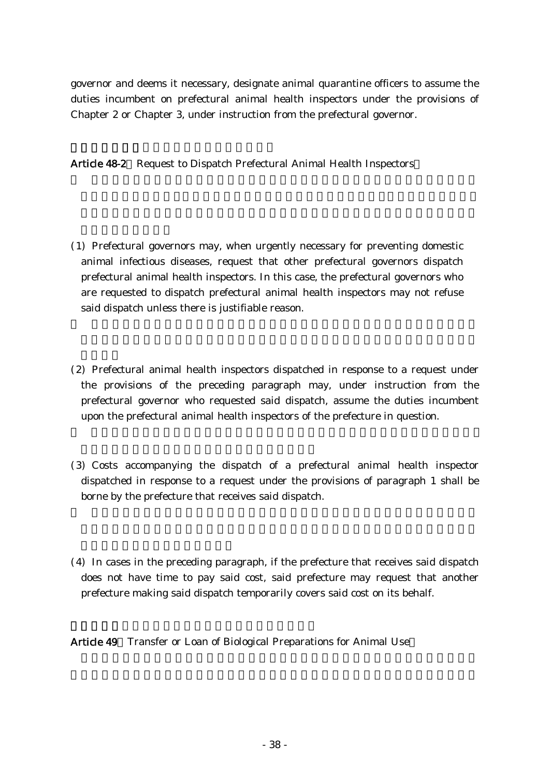governor and deems it necessary, designate animal quarantine officers to assume the duties incumbent on prefectural animal health inspectors under the provisions of Chapter 2 or Chapter 3, under instruction from the prefectural governor.

Article 48-2 Request to Dispatch Prefectural Animal Health Inspectors

- ( )1 Prefectural governors may, when urgently necessary for preventing domestic animal infectious diseases, request that other prefectural governors dispatch prefectural animal health inspectors. In this case, the prefectural governors who are requested to dispatch prefectural animal health inspectors may not refuse said dispatch unless there is justifiable reason.
- (2) Prefectural animal health inspectors dispatched in response to a request under the provisions of the preceding paragraph may, under instruction from the prefectural governor who requested said dispatch, assume the duties incumbent upon the prefectural animal health inspectors of the prefecture in question.
- (3) Costs accompanying the dispatch of a prefectural animal health inspector dispatched in response to a request under the provisions of paragraph 1 shall be borne by the prefecture that receives said dispatch.
- $(4)$  In cases in the preceding paragraph, if the prefecture that receives said dispatch does not have time to pay said cost, said prefecture may request that another prefecture making said dispatch temporarily covers said cost on its behalf.

Article 49 Transfer or Loan of Biological Preparations for Animal Use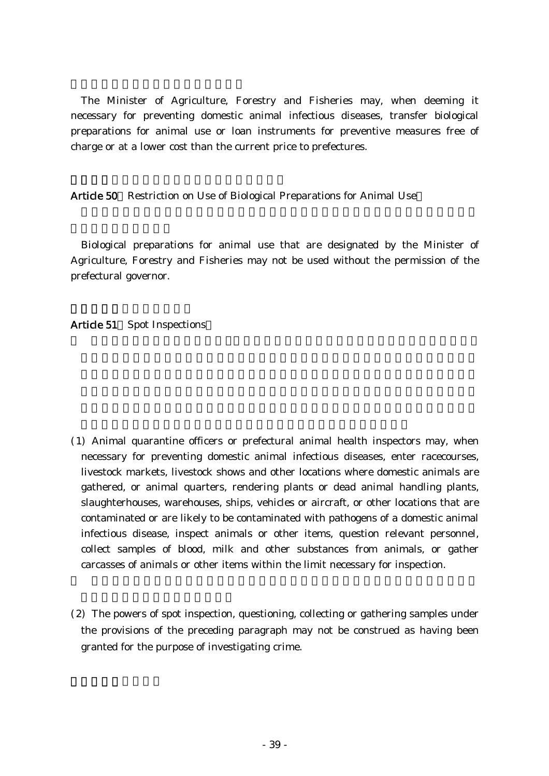The Minister of Agriculture, Forestry and Fisheries may, when deeming it necessary for preventing domestic animal infectious diseases, transfer biological preparations for animal use or loan instruments for preventive measures free of charge or at a lower cost than the current price to prefectures.

Article 50 Restriction on Use of Biological Preparations for Animal Use

Biological preparations for animal use that are designated by the Minister of Agriculture, Forestry and Fisheries may not be used without the permission of the prefectural governor.

Article 51 Spot Inspections

- ( )1 Animal quarantine officers or prefectural animal health inspectors may, when necessary for preventing domestic animal infectious diseases, enter racecourses, livestock markets, livestock shows and other locations where domestic animals are gathered, or animal quarters, rendering plants or dead animal handling plants, slaughterhouses, warehouses, ships, vehicles or aircraft, or other locations that are contaminated or are likely to be contaminated with pathogens of a domestic animal infectious disease, inspect animals or other items, question relevant personnel, collect samples of blood, milk and other substances from animals, or gather carcasses of animals or other items within the limit necessary for inspection.
- (2) The powers of spot inspection, questioning, collecting or gathering samples under the provisions of the preceding paragraph may not be construed as having been granted for the purpose of investigating crime.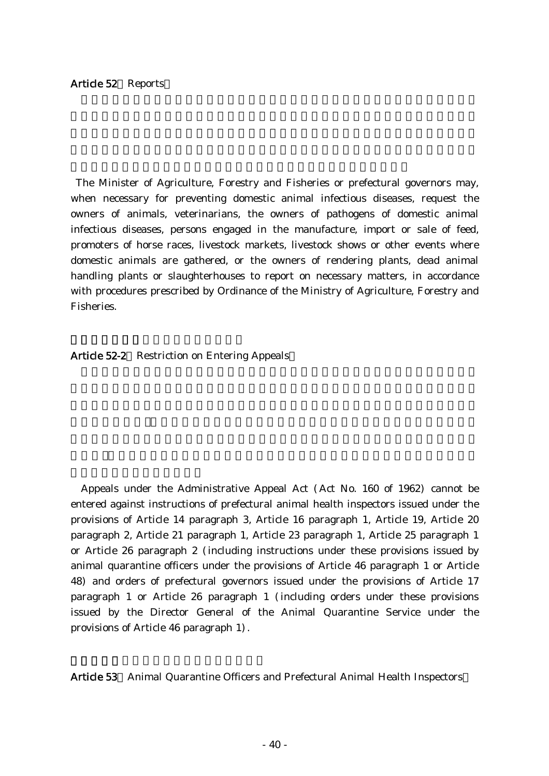#### Article 52 Reports

The Minister of Agriculture, Forestry and Fisheries or prefectural governors may, when necessary for preventing domestic animal infectious diseases, request the owners of animals, veterinarians, the owners of pathogens of domestic animal infectious diseases, persons engaged in the manufacture, import or sale of feed, promoters of horse races, livestock markets, livestock shows or other events where domestic animals are gathered, or the owners of rendering plants, dead animal handling plants or slaughterhouses to report on necessary matters, in accordance with procedures prescribed by Ordinance of the Ministry of Agriculture, Forestry and Fisheries.

Article 52-2 Restriction on Entering Appeals

Appeals under the Administrative Appeal Act (Act No. 160 of 1962) cannot be entered against instructions of prefectural animal health inspectors issued under the provisions of Article 14 paragraph 3, Article 16 paragraph 1, Article 19, Article 20 paragraph 2, Article 21 paragraph 1, Article 23 paragraph 1, Article 25 paragraph 1 or Article 26 paragraph 2 (including instructions under these provisions issued by animal quarantine officers under the provisions of Article 46 paragraph 1 or Article 48) and orders of prefectural governors issued under the provisions of Article 17 paragraph 1 or Article 26 paragraph 1 (including orders under these provisions issued by the Director General of the Animal Quarantine Service under the provisions of Article 46 paragraph 1).

Article 53 Animal Quarantine Officers and Prefectural Animal Health Inspectors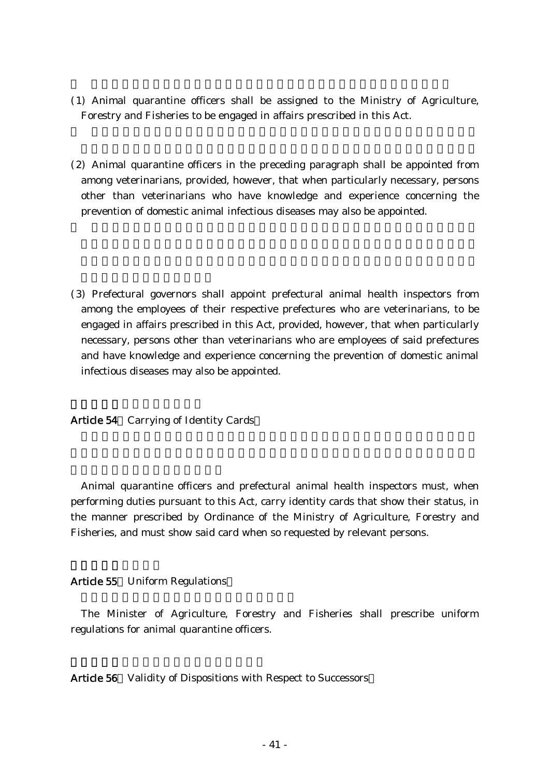- ( )1 Animal quarantine officers shall be assigned to the Ministry of Agriculture, Forestry and Fisheries to be engaged in affairs prescribed in this Act.
- $(2)$  Animal quarantine officers in the preceding paragraph shall be appointed from among veterinarians, provided, however, that when particularly necessary, persons other than veterinarians who have knowledge and experience concerning the prevention of domestic animal infectious diseases may also be appointed.
- ( )3 Prefectural governors shall appoint prefectural animal health inspectors from among the employees of their respective prefectures who are veterinarians, to be engaged in affairs prescribed in this Act, provided, however, that when particularly necessary, persons other than veterinarians who are employees of said prefectures and have knowledge and experience concerning the prevention of domestic animal infectious diseases may also be appointed.

Article 54 Carrying of Identity Cards

Animal quarantine officers and prefectural animal health inspectors must, when performing duties pursuant to this Act, carry identity cards that show their status, in the manner prescribed by Ordinance of the Ministry of Agriculture, Forestry and Fisheries, and must show said card when so requested by relevant persons.

#### Article 55 Uniform Regulations

The Minister of Agriculture, Forestry and Fisheries shall prescribe uniform regulations for animal quarantine officers.

Article 56 Validity of Dispositions with Respect to Successors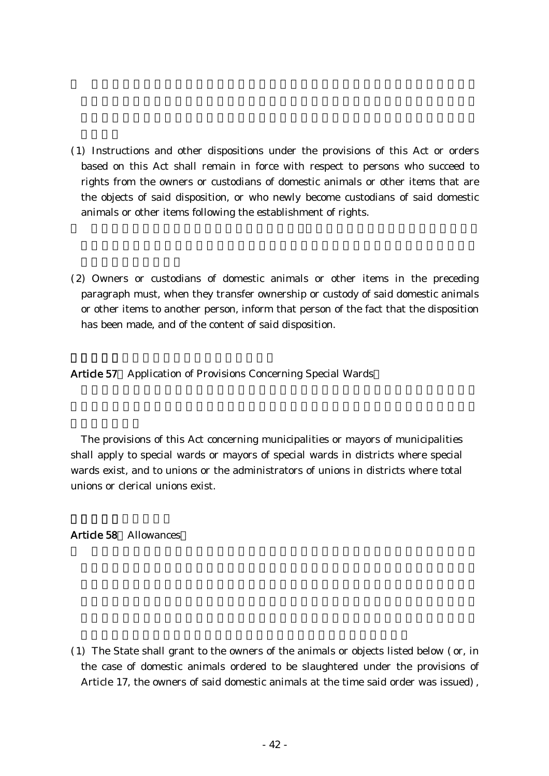- ( )1 Instructions and other dispositions under the provisions of this Act or orders based on this Act shall remain in force with respect to persons who succeed to rights from the owners or custodians of domestic animals or other items that are the objects of said disposition, or who newly become custodians of said domestic animals or other items following the establishment of rights.
- (2) Owners or custodians of domestic animals or other items in the preceding paragraph must, when they transfer ownership or custody of said domestic animals or other items to another person, inform that person of the fact that the disposition has been made, and of the content of said disposition.

Article 57 Application of Provisions Concerning Special Wards

The provisions of this Act concerning municipalities or mayors of municipalities shall apply to special wards or mayors of special wards in districts where special wards exist, and to unions or the administrators of unions in districts where total unions or clerical unions exist.

Article 58 Allowances

 $(1)$  The State shall grant to the owners of the animals or objects listed below  $($  or, in the case of domestic animals ordered to be slaughtered under the provisions of Article 17, the owners of said domestic animals at the time said order was issued),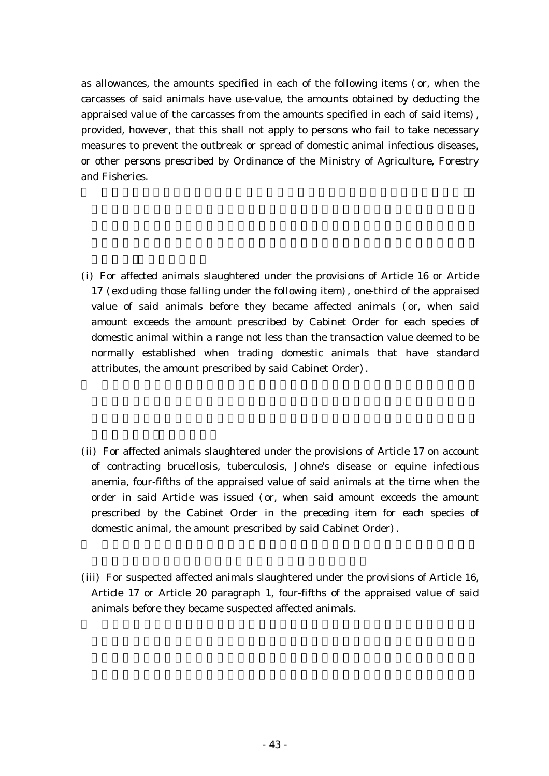as allowances, the amounts specified in each of the following items (or, when the carcasses of said animals have use-value, the amounts obtained by deducting the appraised value of the carcasses from the amounts specified in each of said items), provided, however, that this shall not apply to persons who fail to take necessary measures to prevent the outbreak or spread of domestic animal infectious diseases, or other persons prescribed by Ordinance of the Ministry of Agriculture, Forestry and Fisheries.

- (i) For affected animals slaughtered under the provisions of Article 16 or Article  $17$  (excluding those falling under the following item), one-third of the appraised value of said animals before they became affected animals (or, when said amount exceeds the amount prescribed by Cabinet Order for each species of domestic animal within a range not less than the transaction value deemed to be normally established when trading domestic animals that have standard attributes, the amount prescribed by said Cabinet Order).
- (ii) For affected animals slaughtered under the provisions of Article 17 on account of contracting brucellosis, tuberculosis, Johne's disease or equine infectious anemia, four-fifths of the appraised value of said animals at the time when the order in said Article was issued (or, when said amount exceeds the amount prescribed by the Cabinet Order in the preceding item for each species of domestic animal, the amount prescribed by said Cabinet Order).
- (iii) For suspected affected animals slaughtered under the provisions of Article 16, Article 17 or Article 20 paragraph 1, four-fifths of the appraised value of said animals before they became suspected affected animals.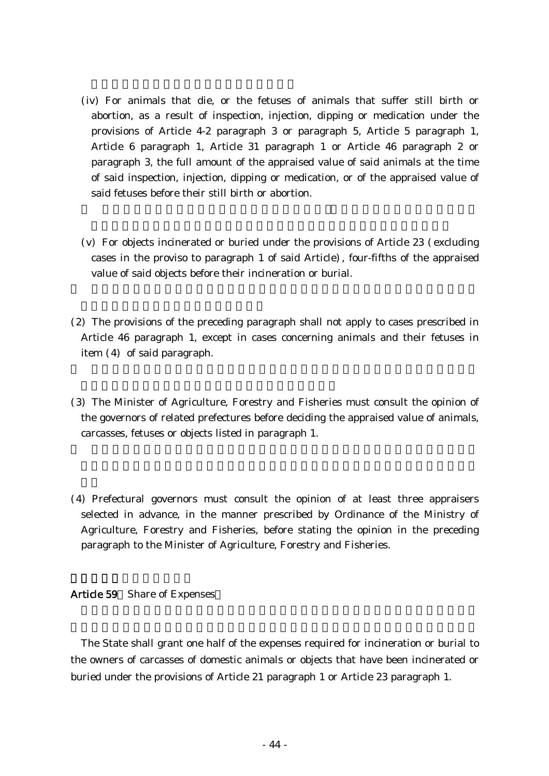- (iv) For animals that die, or the fetuses of animals that suffer still birth or abortion, as a result of inspection, injection, dipping or medication under the provisions of Article 4-2 paragraph 3 or paragraph 5, Article 5 paragraph 1, Article 6 paragraph 1, Article 31 paragraph 1 or Article 46 paragraph 2 or paragraph 3, the full amount of the appraised value of said animals at the time of said inspection, injection, dipping or medication, or of the appraised value of said fetuses before their still birth or abortion.
- $(v)$  For objects incinerated or buried under the provisions of Article 23 (excluding cases in the proviso to paragraph 1 of said Article), four-fifths of the appraised value of said objects before their incineration or burial.
- (2) The provisions of the preceding paragraph shall not apply to cases prescribed in Article 46 paragraph 1, except in cases concerning animals and their fetuses in item  $(4)$  of said paragraph.
- (3) The Minister of Agriculture, Forestry and Fisheries must consult the opinion of the governors of related prefectures before deciding the appraised value of animals, carcasses, fetuses or objects listed in paragraph 1.
- (4) Prefectural governors must consult the opinion of at least three appraisers selected in advance, in the manner prescribed by Ordinance of the Ministry of Agriculture, Forestry and Fisheries, before stating the opinion in the preceding paragraph to the Minister of Agriculture, Forestry and Fisheries.

#### Article 59 Share of Expenses

The State shall grant one half of the expenses required for incineration or burial to the owners of carcasses of domestic animals or objects that have been incinerated or buried under the provisions of Article 21 paragraph 1 or Article 23 paragraph 1.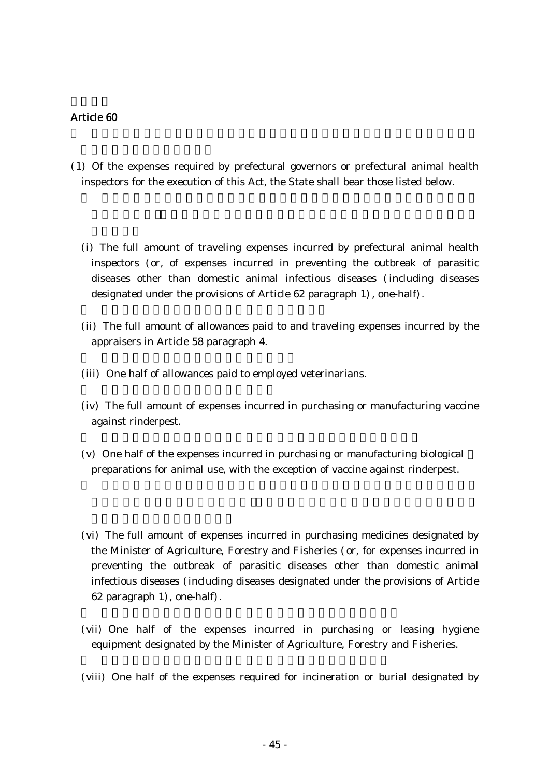- ( )1 Of the expenses required by prefectural governors or prefectural animal health inspectors for the execution of this Act, the State shall bear those listed below.
	- (i) The full amount of traveling expenses incurred by prefectural animal health inspectors (or, of expenses incurred in preventing the outbreak of parasitic diseases other than domestic animal infectious diseases (including diseases designated under the provisions of Article 62 paragraph 1), one-half).
	- (ii) The full amount of allowances paid to and traveling expenses incurred by the appraisers in Article 58 paragraph 4.
	- (iii) One half of allowances paid to employed veterinarians.
	- (iv) The full amount of expenses incurred in purchasing or manufacturing vaccine against rinderpest.
	- $(v)$  One half of the expenses incurred in purchasing or manufacturing biological preparations for animal use, with the exception of vaccine against rinderpest.
	- (vi) The full amount of expenses incurred in purchasing medicines designated by the Minister of Agriculture, Forestry and Fisheries (or, for expenses incurred in preventing the outbreak of parasitic diseases other than domestic animal infectious diseases (including diseases designated under the provisions of Article 62 paragraph  $1)$ , one-half).
	- (vii) One half of the expenses incurred in purchasing or leasing hygiene equipment designated by the Minister of Agriculture, Forestry and Fisheries.
	- (viii) One half of the expenses required for incineration or burial designated by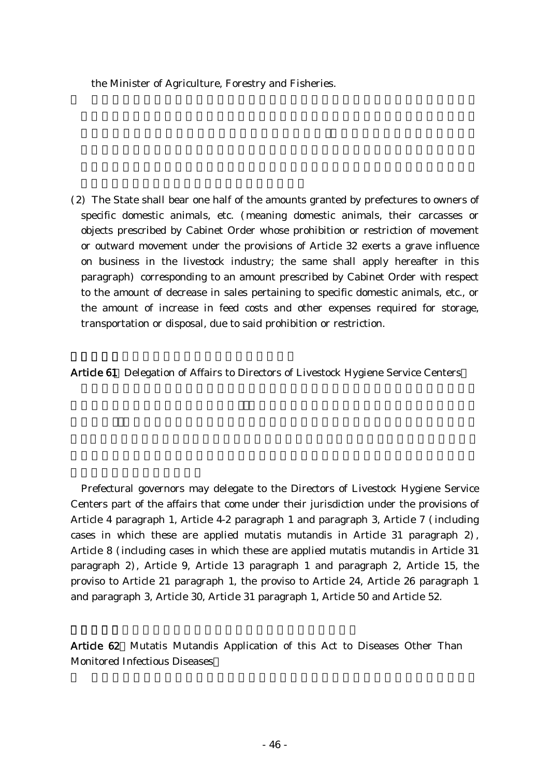the Minister of Agriculture, Forestry and Fisheries.

(2) The State shall bear one half of the amounts granted by prefectures to owners of specific domestic animals, etc. (meaning domestic animals, their carcasses or objects prescribed by Cabinet Order whose prohibition or restriction of movement or outward movement under the provisions of Article 32 exerts a grave influence on business in the livestock industry; the same shall apply hereafter in this paragraph) corresponding to an amount prescribed by Cabinet Order with respect to the amount of decrease in sales pertaining to specific domestic animals, etc., or the amount of increase in feed costs and other expenses required for storage, transportation or disposal, due to said prohibition or restriction.

Article 61 Delegation of Affairs to Directors of Livestock Hygiene Service Centers

Prefectural governors may delegate to the Directors of Livestock Hygiene Service Centers part of the affairs that come under their jurisdiction under the provisions of Article 4 paragraph 1, Article 4-2 paragraph 1 and paragraph 3, Article 7 (including cases in which these are applied mutatis mutandis in Article 31 paragraph  $2$ , Article 8 (including cases in which these are applied mutatis mutandis in Article 31 paragraph 2), Article 9, Article 13 paragraph 1 and paragraph 2, Article 15, the proviso to Article 21 paragraph 1, the proviso to Article 24, Article 26 paragraph 1 and paragraph 3, Article 30, Article 31 paragraph 1, Article 50 and Article 52.

Article 62 Mutatis Mutandis Application of this Act to Diseases Other Than Monitored Infectious Diseases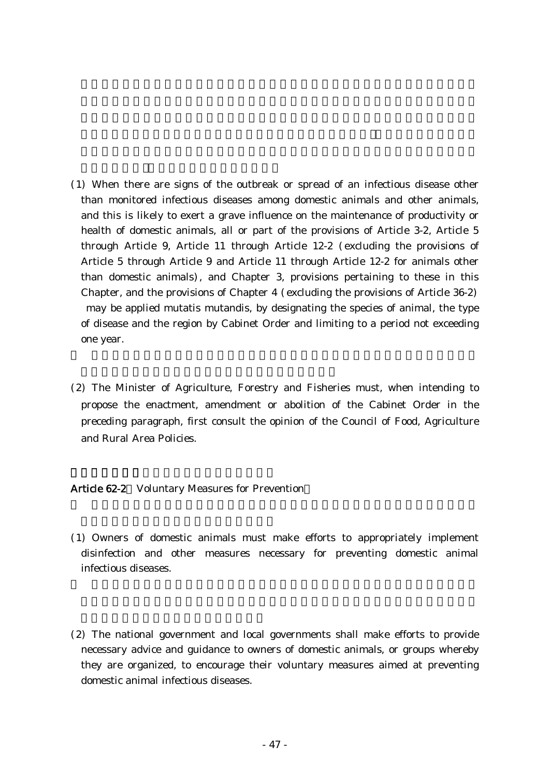- ( )1 When there are signs of the outbreak or spread of an infectious disease other than monitored infectious diseases among domestic animals and other animals, and this is likely to exert a grave influence on the maintenance of productivity or health of domestic animals, all or part of the provisions of Article 3-2, Article 5 through Article 9, Article 11 through Article 12-2 (excluding the provisions of Article 5 through Article 9 and Article 11 through Article 12-2 for animals other than domestic animals), and Chapter 3, provisions pertaining to these in this Chapter, and the provisions of Chapter  $4$  (excluding the provisions of Article 36-2) may be applied mutatis mutandis, by designating the species of animal, the type of disease and the region by Cabinet Order and limiting to a period not exceeding one year.
- (2) The Minister of Agriculture, Forestry and Fisheries must, when intending to propose the enactment, amendment or abolition of the Cabinet Order in the preceding paragraph, first consult the opinion of the Council of Food, Agriculture and Rural Area Policies.

### Article 62-2 Voluntary Measures for Prevention

- ( )1 Owners of domestic animals must make efforts to appropriately implement disinfection and other measures necessary for preventing domestic animal infectious diseases.
- (2) The national government and local governments shall make efforts to provide necessary advice and guidance to owners of domestic animals, or groups whereby they are organized, to encourage their voluntary measures aimed at preventing domestic animal infectious diseases.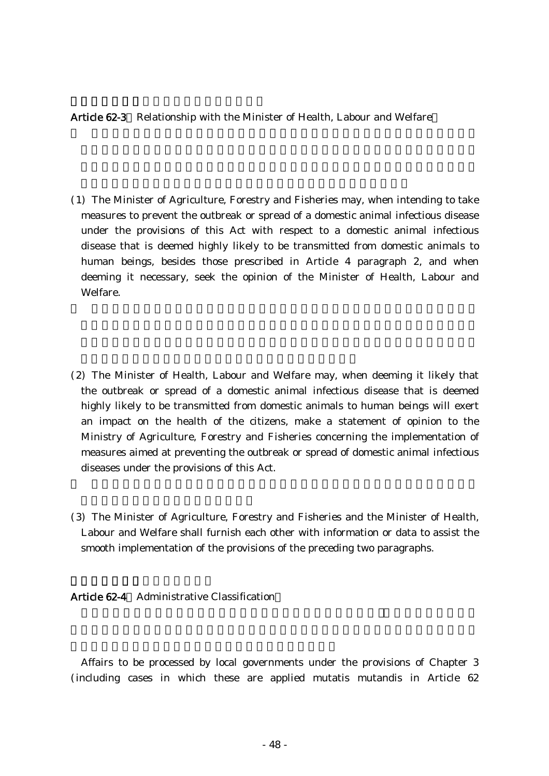### Article 62-3 Relationship with the Minister of Health, Labour and Welfare

- ( )1 The Minister of Agriculture, Forestry and Fisheries may, when intending to take measures to prevent the outbreak or spread of a domestic animal infectious disease under the provisions of this Act with respect to a domestic animal infectious disease that is deemed highly likely to be transmitted from domestic animals to human beings, besides those prescribed in Article 4 paragraph 2, and when deeming it necessary, seek the opinion of the Minister of Health, Labour and Welfare.
- (2) The Minister of Health, Labour and Welfare may, when deeming it likely that the outbreak or spread of a domestic animal infectious disease that is deemed highly likely to be transmitted from domestic animals to human beings will exert an impact on the health of the citizens, make a statement of opinion to the Ministry of Agriculture, Forestry and Fisheries concerning the implementation of measures aimed at preventing the outbreak or spread of domestic animal infectious diseases under the provisions of this Act.
- (3) The Minister of Agriculture, Forestry and Fisheries and the Minister of Health, Labour and Welfare shall furnish each other with information or data to assist the smooth implementation of the provisions of the preceding two paragraphs.

Article 62-4 Administrative Classification

Affairs to be processed by local governments under the provisions of Chapter 3 (including cases in which these are applied mutatis mutandis in Article 62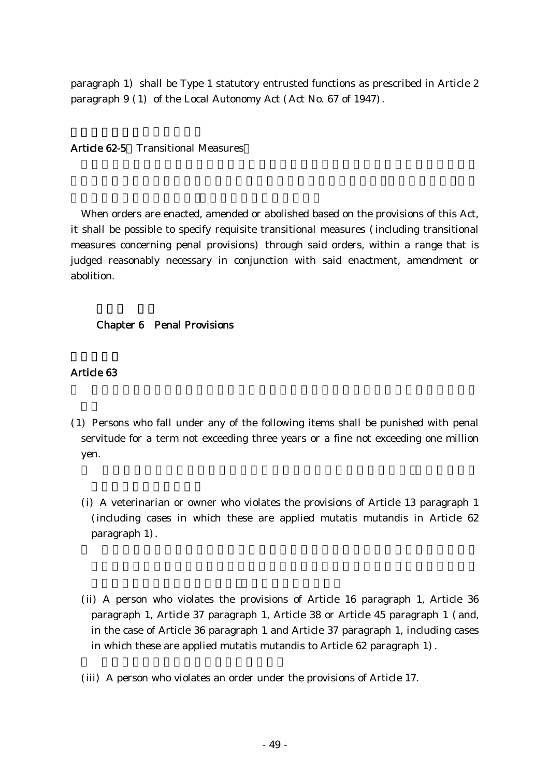paragraph 1) shall be Type 1 statutory entrusted functions as prescribed in Article 2 paragraph 9 (1) of the Local Autonomy Act (Act No. 67 of 1947).

### Article 62-5 Transitional Measures

When orders are enacted, amended or abolished based on the provisions of this Act, it shall be possible to specify requisite transitional measures (including transitional measures concerning penal provisions) through said orders, within a range that is judged reasonably necessary in conjunction with said enactment, amendment or abolition.

### Chapter 6 Penal Provisions

- ( )1 Persons who fall under any of the following items shall be punished with penal servitude for a term not exceeding three years or a fine not exceeding one million yen.
	- (i) A veterinarian or owner who violates the provisions of Article 13 paragraph 1 (including cases in which these are applied mutatis mutandis in Article 62 paragraph 1).
	- (ii) A person who violates the provisions of Article 16 paragraph 1, Article 36 paragraph 1, Article 37 paragraph 1, Article 38 or Article 45 paragraph 1 (and, in the case of Article 36 paragraph 1 and Article 37 paragraph 1, including cases in which these are applied mutatis mutandis to Article  $62$  paragraph  $1$ .
	- (iii) A person who violates an order under the provisions of Article 17.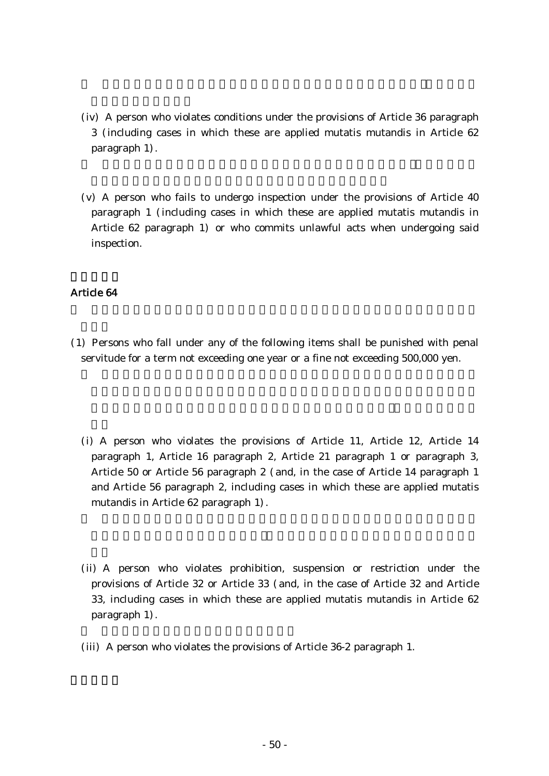- (iv) A person who violates conditions under the provisions of Article 36 paragraph 3 including cases in which these are applied mutatis mutandis in Article 62 ( paragraph 1).
- $(v)$  A person who fails to undergo inspection under the provisions of Article 40 paragraph 1 (including cases in which these are applied mutatis mutandis in Article 62 paragraph 1) or who commits unlawful acts when undergoing said inspection.

- ( )1 Persons who fall under any of the following items shall be punished with penal servitude for a term not exceeding one year or a fine not exceeding 500,000 yen.
	- (i) A person who violates the provisions of Article 11, Article 12, Article 14 paragraph 1, Article 16 paragraph 2, Article 21 paragraph 1 or paragraph 3, Article 50 or Article 56 paragraph 2 (and, in the case of Article 14 paragraph 1 and Article 56 paragraph 2, including cases in which these are applied mutatis mutandis in Article 62 paragraph 1).
	- (ii) A person who violates prohibition, suspension or restriction under the provisions of Article 32 or Article 33 (and, in the case of Article 32 and Article 33, including cases in which these are applied mutatis mutandis in Article 62 paragraph 1).
	- (iii) A person who violates the provisions of Article  $36-2$  paragraph 1.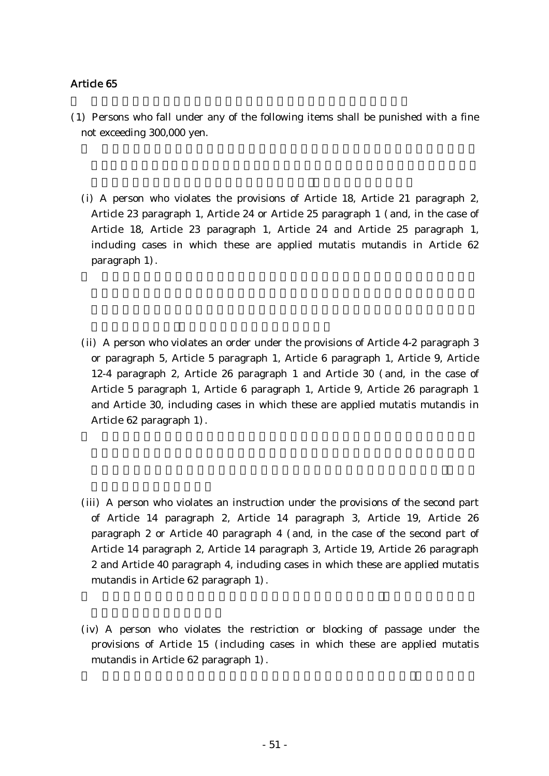- (1) Persons who fall under any of the following items shall be punished with a fine not exceeding 300,000 yen.
	- (i) A person who violates the provisions of Article 18, Article 21 paragraph 2, Article 23 paragraph 1, Article 24 or Article 25 paragraph 1 (and, in the case of Article 18, Article 23 paragraph 1, Article 24 and Article 25 paragraph 1, including cases in which these are applied mutatis mutandis in Article 62 paragraph 1).
	- (ii) A person who violates an order under the provisions of Article  $4-2$  paragraph 3 or paragraph 5, Article 5 paragraph 1, Article 6 paragraph 1, Article 9, Article 12-4 paragraph 2, Article 26 paragraph 1 and Article 30 (and, in the case of Article 5 paragraph 1, Article 6 paragraph 1, Article 9, Article 26 paragraph 1 and Article 30, including cases in which these are applied mutatis mutandis in Article 62 paragraph 1).
	- (iii) A person who violates an instruction under the provisions of the second part of Article 14 paragraph 2, Article 14 paragraph 3, Article 19, Article 26 paragraph 2 or Article 40 paragraph 4 (and, in the case of the second part of Article 14 paragraph 2, Article 14 paragraph 3, Article 19, Article 26 paragraph 2 and Article 40 paragraph 4, including cases in which these are applied mutatis mutandis in Article 62 paragraph 1).
	- (iv) A person who violates the restriction or blocking of passage under the provisions of Article 15 (including cases in which these are applied mutatis mutandis in Article 62 paragraph 1).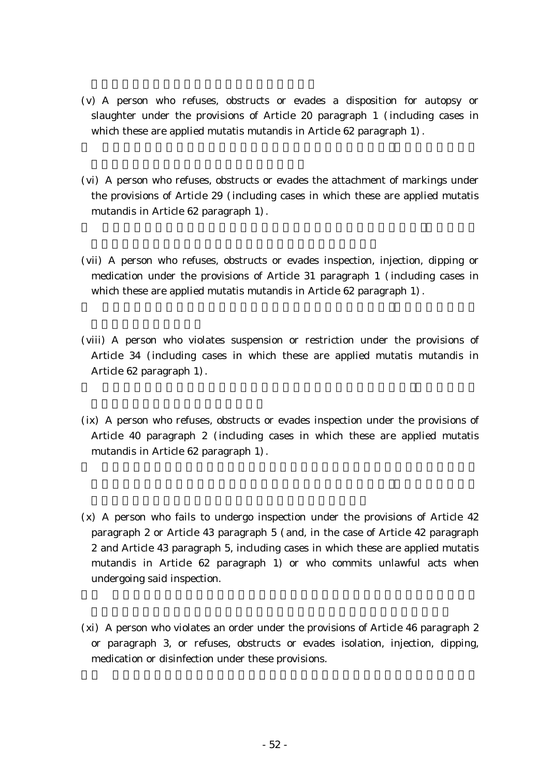- (v) A person who refuses, obstructs or evades a disposition for autopsy or slaughter under the provisions of Article 20 paragraph  $1$  (including cases in which these are applied mutatis mutandis in Article  $62$  paragraph  $1$ ).
- (vi) A person who refuses, obstructs or evades the attachment of markings under the provisions of Article 29 (including cases in which these are applied mutatis mutandis in Article  $62$  paragraph  $1$ ).
- (vii) A person who refuses, obstructs or evades inspection, injection, dipping or medication under the provisions of Article  $31$  paragraph 1 (including cases in which these are applied mutatis mutandis in Article 62 paragraph 1).
- (viii) A person who violates suspension or restriction under the provisions of Article 34 (including cases in which these are applied mutatis mutandis in Article 62 paragraph 1).
- $(ix)$  A person who refuses, obstructs or evades inspection under the provisions of Article 40 paragraph 2 (including cases in which these are applied mutatis mutandis in Article 62 paragraph 1).
- $(x)$  A person who fails to undergo inspection under the provisions of Article 42 paragraph 2 or Article 43 paragraph 5 (and, in the case of Article 42 paragraph 2 and Article 43 paragraph 5, including cases in which these are applied mutatis mutandis in Article 62 paragraph 1) or who commits unlawful acts when undergoing said inspection.
- $(xi)$  A person who violates an order under the provisions of Article 46 paragraph 2 or paragraph 3, or refuses, obstructs or evades isolation, injection, dipping, medication or disinfection under these provisions.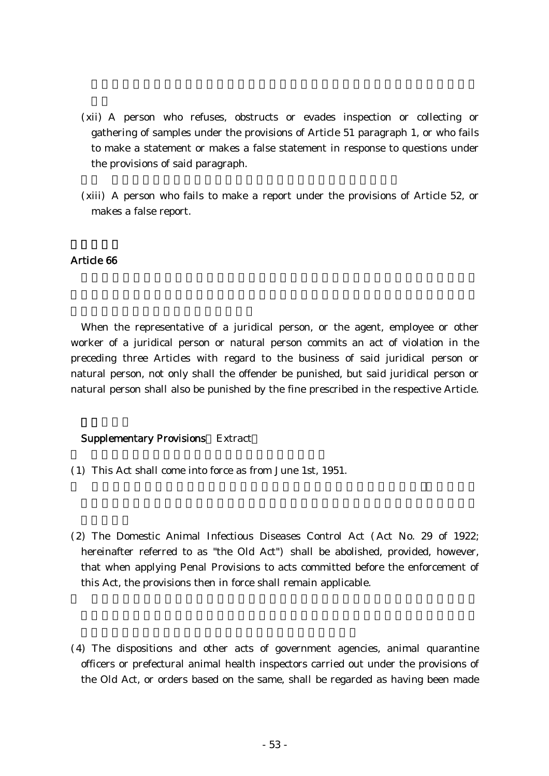- (xii) A person who refuses, obstructs or evades inspection or collecting or gathering of samples under the provisions of Article 51 paragraph 1, or who fails to make a statement or makes a false statement in response to questions under the provisions of said paragraph.
- (xiii) A person who fails to make a report under the provisions of Article 52, or makes a false report.

When the representative of a juridical person, or the agent, employee or other worker of a juridical person or natural person commits an act of violation in the preceding three Articles with regard to the business of said juridical person or natural person, not only shall the offender be punished, but said juridical person or natural person shall also be punished by the fine prescribed in the respective Article.

### Supplementary Provisions Extract

- ( )1 This Act shall come into force as from June 1st, 1951.
- (2) The Domestic Animal Infectious Diseases Control Act (Act No. 29 of 1922; hereinafter referred to as "the Old Act") shall be abolished, provided, however, that when applying Penal Provisions to acts committed before the enforcement of this Act, the provisions then in force shall remain applicable.
- (4) The dispositions and other acts of government agencies, animal quarantine officers or prefectural animal health inspectors carried out under the provisions of the Old Act, or orders based on the same, shall be regarded as having been made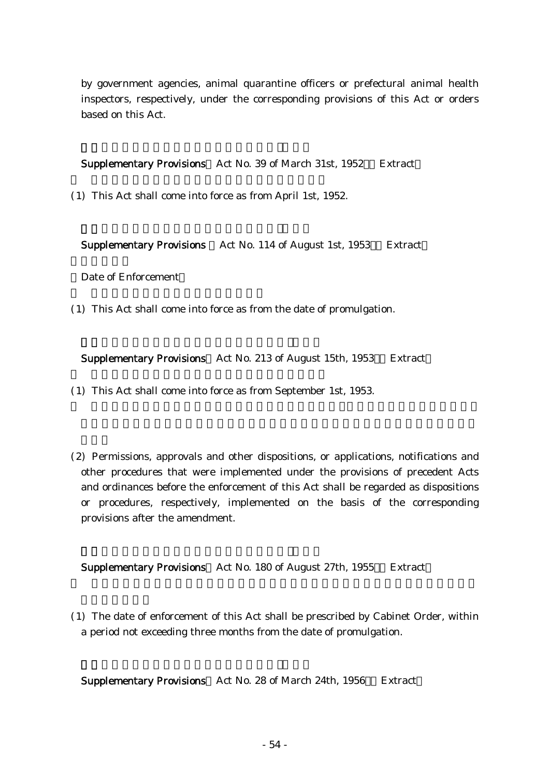by government agencies, animal quarantine officers or prefectural animal health inspectors, respectively, under the corresponding provisions of this Act or orders based on this Act.

Supplementary Provisions Act No. 39 of March 31st, 1952 Extract

(1) This Act shall come into force as from April 1st, 1952.

**Supplementary Provisions** Act No. 114 of August 1st, 1953 Extract

Date of Enforcement

(1) This Act shall come into force as from the date of promulgation.

Supplementary Provisions Act No. 213 of August 15th, 1953 Extract

(1) This Act shall come into force as from September 1st, 1953.

(2) Permissions, approvals and other dispositions, or applications, notifications and other procedures that were implemented under the provisions of precedent Acts and ordinances before the enforcement of this Act shall be regarded as dispositions or procedures, respectively, implemented on the basis of the corresponding provisions after the amendment.

Supplementary Provisions Act No. 180 of August 27th, 1955 Extract

( )1 The date of enforcement of this Act shall be prescribed by Cabinet Order, within a period not exceeding three months from the date of promulgation.

Supplementary Provisions Act No. 28 of March 24th, 1956 Extract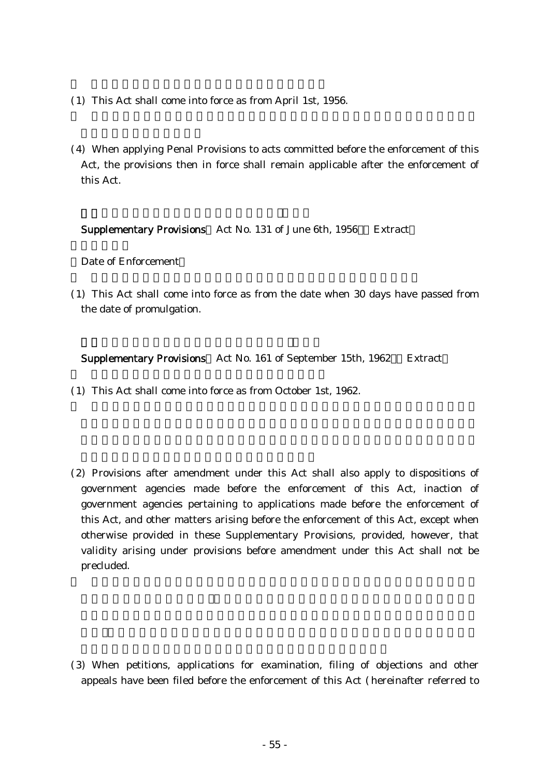- (1) This Act shall come into force as from April 1st, 1956.
- (4) When applying Penal Provisions to acts committed before the enforcement of this Act, the provisions then in force shall remain applicable after the enforcement of this Act.

Supplementary Provisions Act No. 131 of June 6th, 1956 Extract

Date of Enforcement

( )1 This Act shall come into force as from the date when 30 days have passed from the date of promulgation.

Supplementary Provisions Act No. 161 of September 15th, 1962 Extract

- ( )1 This Act shall come into force as from October 1st, 1962.
- (2) Provisions after amendment under this Act shall also apply to dispositions of government agencies made before the enforcement of this Act, inaction of government agencies pertaining to applications made before the enforcement of this Act, and other matters arising before the enforcement of this Act, except when otherwise provided in these Supplementary Provisions, provided, however, that validity arising under provisions before amendment under this Act shall not be precluded.

(3) When petitions, applications for examination, filing of objections and other appeals have been filed before the enforcement of this Act (hereinafter referred to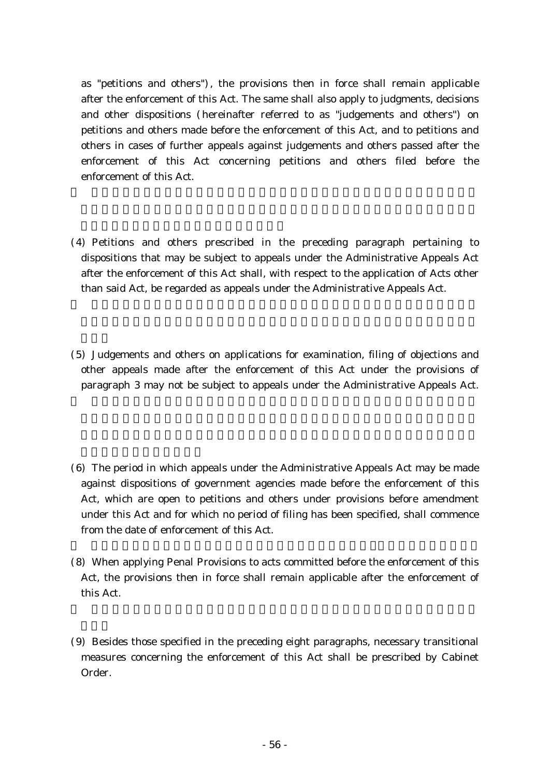as "petitions and others"), the provisions then in force shall remain applicable after the enforcement of this Act. The same shall also apply to judgments, decisions and other dispositions (hereinafter referred to as "judgements and others") on petitions and others made before the enforcement of this Act, and to petitions and others in cases of further appeals against judgements and others passed after the enforcement of this Act concerning petitions and others filed before the enforcement of this Act.

- (4) Petitions and others prescribed in the preceding paragraph pertaining to dispositions that may be subject to appeals under the Administrative Appeals Act after the enforcement of this Act shall, with respect to the application of Acts other than said Act, be regarded as appeals under the Administrative Appeals Act.
- (5) Judgements and others on applications for examination, filing of objections and other appeals made after the enforcement of this Act under the provisions of paragraph 3 may not be subject to appeals under the Administrative Appeals Act.
- $(6)$  The period in which appeals under the Administrative Appeals Act may be made against dispositions of government agencies made before the enforcement of this Act, which are open to petitions and others under provisions before amendment under this Act and for which no period of filing has been specified, shall commence from the date of enforcement of this Act.
- (8) When applying Penal Provisions to acts committed before the enforcement of this Act, the provisions then in force shall remain applicable after the enforcement of this Act.
- (9) Besides those specified in the preceding eight paragraphs, necessary transitional measures concerning the enforcement of this Act shall be prescribed by Cabinet Order.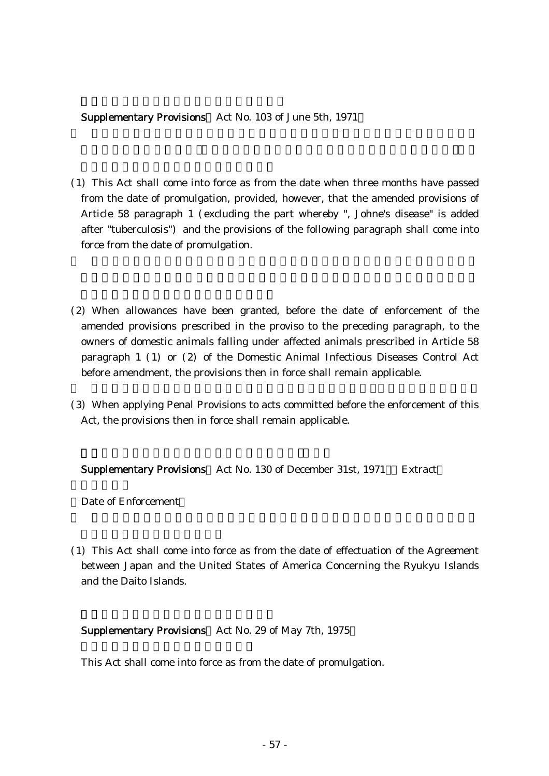### Supplementary Provisions Act No. 103 of June 5th, 1971

- ( )1 This Act shall come into force as from the date when three months have passed from the date of promulgation, provided, however, that the amended provisions of Article 58 paragraph 1 (excluding the part whereby ", Johne's disease" is added after "tuberculosis") and the provisions of the following paragraph shall come into force from the date of promulgation.
- (2) When allowances have been granted, before the date of enforcement of the amended provisions prescribed in the proviso to the preceding paragraph, to the owners of domestic animals falling under affected animals prescribed in Article 58 paragraph  $1$  (1) or (2) of the Domestic Animal Infectious Diseases Control Act before amendment, the provisions then in force shall remain applicable.
- (3) When applying Penal Provisions to acts committed before the enforcement of this Act, the provisions then in force shall remain applicable.

Supplementary Provisions Act No. 130 of December 31st, 1971 Extract

Date of Enforcement

( )1 This Act shall come into force as from the date of effectuation of the Agreement between Japan and the United States of America Concerning the Ryukyu Islands and the Daito Islands.

### Supplementary Provisions Act No. 29 of May 7th, 1975

This Act shall come into force as from the date of promulgation.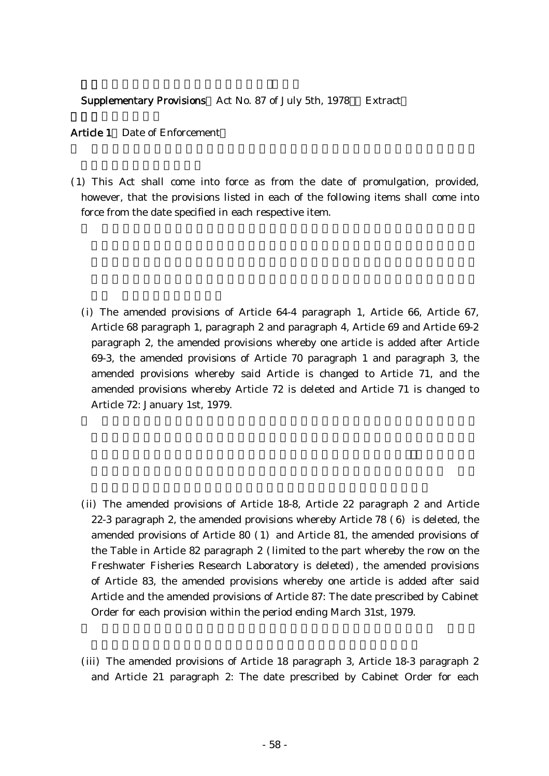#### Supplementary Provisions Act No. 87 of July 5th, 1978 Extract

#### Article 1 Date of Enforcement

( )1 This Act shall come into force as from the date of promulgation, provided, however, that the provisions listed in each of the following items shall come into force from the date specified in each respective item.

(i) The amended provisions of Article 64-4 paragraph 1, Article 66, Article 67, Article 68 paragraph 1, paragraph 2 and paragraph 4, Article 69 and Article 69-2 paragraph 2, the amended provisions whereby one article is added after Article 69-3, the amended provisions of Article 70 paragraph 1 and paragraph 3, the amended provisions whereby said Article is changed to Article 71, and the amended provisions whereby Article 72 is deleted and Article 71 is changed to Article 72: January 1st, 1979.

- (ii) The amended provisions of Article 18-8, Article 22 paragraph 2 and Article 22-3 paragraph 2, the amended provisions whereby Article  $78$  (6) is deleted, the amended provisions of Article 80  $(1)$  and Article 81, the amended provisions of the Table in Article 82 paragraph 2 (limited to the part whereby the row on the Freshwater Fisheries Research Laboratory is deleted), the amended provisions of Article 83, the amended provisions whereby one article is added after said Article and the amended provisions of Article 87: The date prescribed by Cabinet Order for each provision within the period ending March 31st, 1979.
- (iii) The amended provisions of Article 18 paragraph 3, Article 18-3 paragraph 2 and Article 21 paragraph 2: The date prescribed by Cabinet Order for each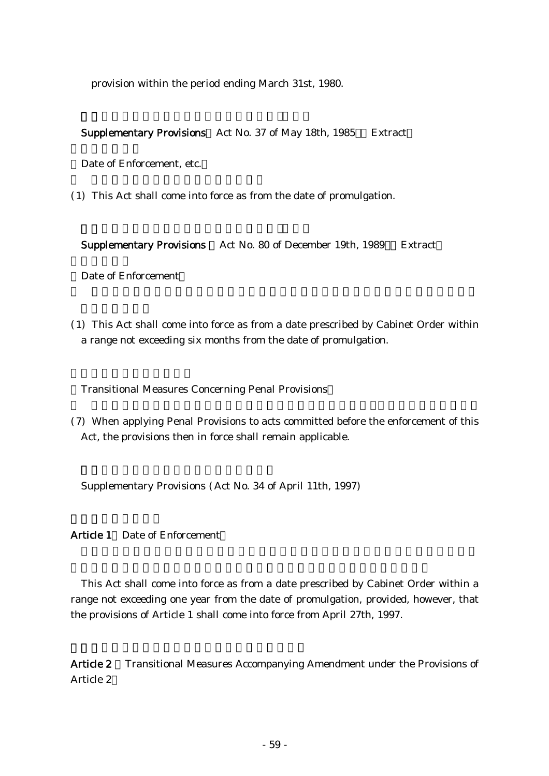provision within the period ending March 31st, 1980.

Supplementary Provisions Act No. 37 of May 18th, 1985 Extract

Date of Enforcement, etc.

(1) This Act shall come into force as from the date of promulgation.

Supplementary Provisions Act No. 80 of December 19th, 1989 Extract

Date of Enforcement

( )1 This Act shall come into force as from a date prescribed by Cabinet Order within a range not exceeding six months from the date of promulgation.

( ) Transitional Measures Concerning Penal Provisions

(7) When applying Penal Provisions to acts committed before the enforcement of this Act, the provisions then in force shall remain applicable.

Supplementary Provisions (Act No. 34 of April 11th, 1997)

Article 1 Date of Enforcement

This Act shall come into force as from a date prescribed by Cabinet Order within a range not exceeding one year from the date of promulgation, provided, however, that the provisions of Article 1 shall come into force from April 27th, 1997.

Article 2 Transitional Measures Accompanying Amendment under the Provisions of Article 2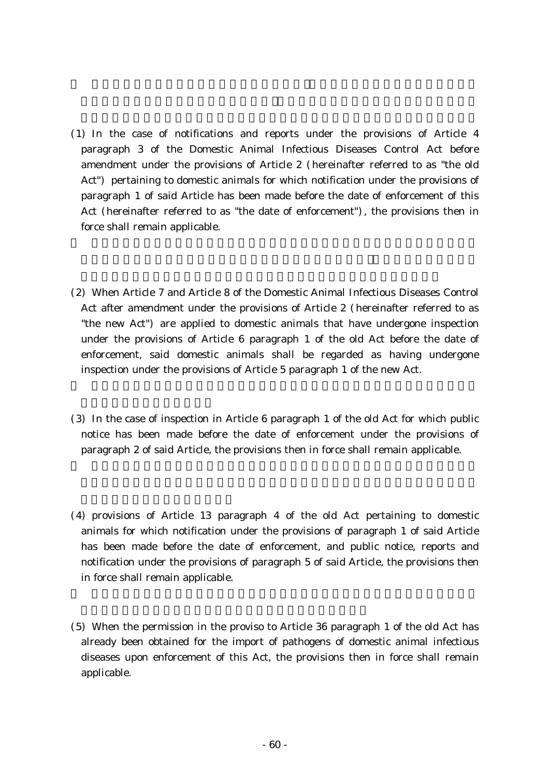- ( )1 In the case of notifications and reports under the provisions of Article 4 paragraph 3 of the Domestic Animal Infectious Diseases Control Act before amendment under the provisions of Article 2 (hereinafter referred to as "the old Act") pertaining to domestic animals for which notification under the provisions of paragraph 1 of said Article has been made before the date of enforcement of this Act (hereinafter referred to as "the date of enforcement"), the provisions then in force shall remain applicable.
- (2) When Article 7 and Article 8 of the Domestic Animal Infectious Diseases Control Act after amendment under the provisions of Article 2 (hereinafter referred to as "the new Act" are applied to domestic animals that have undergone inspection under the provisions of Article 6 paragraph 1 of the old Act before the date of enforcement, said domestic animals shall be regarded as having undergone inspection under the provisions of Article 5 paragraph 1 of the new Act.
- $(3)$  In the case of inspection in Article 6 paragraph 1 of the old Act for which public notice has been made before the date of enforcement under the provisions of paragraph 2 of said Article, the provisions then in force shall remain applicable.
- $(4)$  provisions of Article 13 paragraph 4 of the old Act pertaining to domestic animals for which notification under the provisions of paragraph 1 of said Article has been made before the date of enforcement, and public notice, reports and notification under the provisions of paragraph 5 of said Article, the provisions then in force shall remain applicable.
- (5) When the permission in the proviso to Article 36 paragraph 1 of the old Act has already been obtained for the import of pathogens of domestic animal infectious diseases upon enforcement of this Act, the provisions then in force shall remain applicable.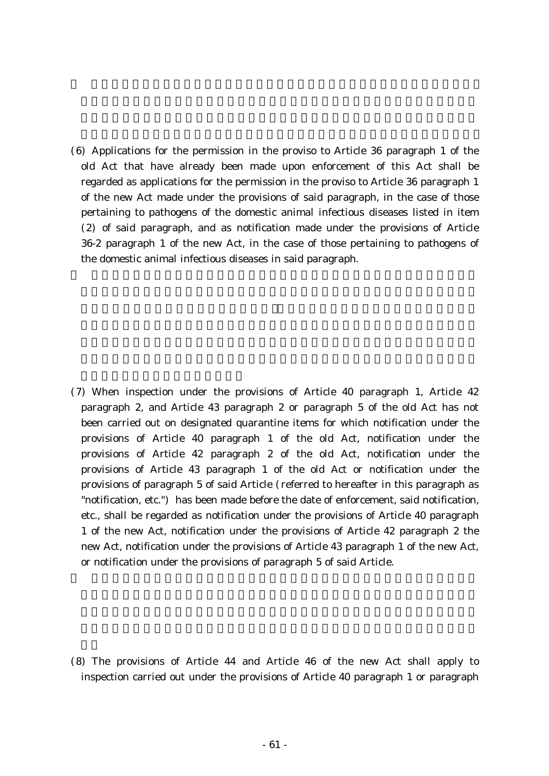$(6)$  Applications for the permission in the proviso to Article 36 paragraph 1 of the old Act that have already been made upon enforcement of this Act shall be regarded as applications for the permission in the proviso to Article 36 paragraph 1 of the new Act made under the provisions of said paragraph, in the case of those pertaining to pathogens of the domestic animal infectious diseases listed in item  $(2)$  of said paragraph, and as notification made under the provisions of Article 36-2 paragraph 1 of the new Act, in the case of those pertaining to pathogens of the domestic animal infectious diseases in said paragraph.

(7) When inspection under the provisions of Article 40 paragraph 1, Article 42 paragraph 2, and Article 43 paragraph 2 or paragraph 5 of the old Act has not been carried out on designated quarantine items for which notification under the provisions of Article 40 paragraph 1 of the old Act, notification under the provisions of Article 42 paragraph 2 of the old Act, notification under the provisions of Article 43 paragraph 1 of the old Act or notification under the provisions of paragraph 5 of said Article ( referred to hereafter in this paragraph as "notification, etc." has been made before the date of enforcement, said notification, etc., shall be regarded as notification under the provisions of Article 40 paragraph 1 of the new Act, notification under the provisions of Article 42 paragraph 2 the new Act, notification under the provisions of Article 43 paragraph 1 of the new Act, or notification under the provisions of paragraph 5 of said Article.

 $(8)$  The provisions of Article 44 and Article 46 of the new Act shall apply to inspection carried out under the provisions of Article 40 paragraph 1 or paragraph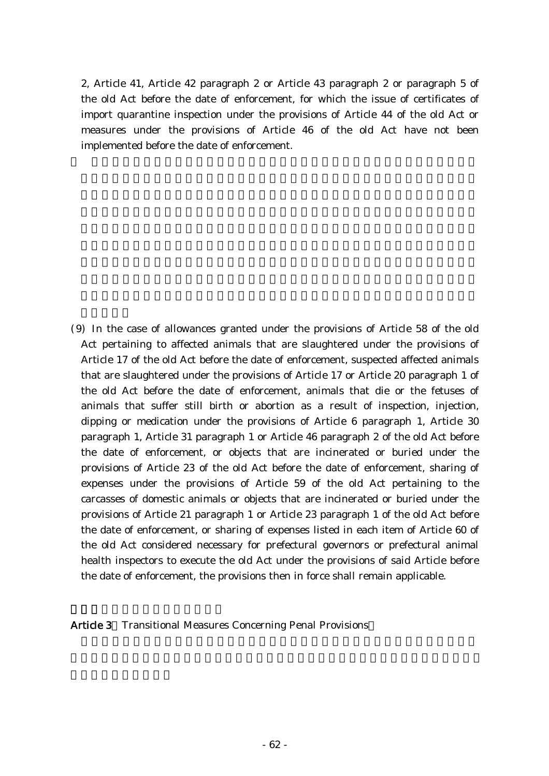2, Article 41, Article 42 paragraph 2 or Article 43 paragraph 2 or paragraph 5 of the old Act before the date of enforcement, for which the issue of certificates of import quarantine inspection under the provisions of Article 44 of the old Act or measures under the provisions of Article 46 of the old Act have not been implemented before the date of enforcement.

( )9 In the case of allowances granted under the provisions of Article 58 of the old Act pertaining to affected animals that are slaughtered under the provisions of Article 17 of the old Act before the date of enforcement, suspected affected animals that are slaughtered under the provisions of Article 17 or Article 20 paragraph 1 of the old Act before the date of enforcement, animals that die or the fetuses of animals that suffer still birth or abortion as a result of inspection, injection, dipping or medication under the provisions of Article 6 paragraph 1, Article 30 paragraph 1, Article 31 paragraph 1 or Article 46 paragraph 2 of the old Act before the date of enforcement, or objects that are incinerated or buried under the provisions of Article 23 of the old Act before the date of enforcement, sharing of expenses under the provisions of Article 59 of the old Act pertaining to the carcasses of domestic animals or objects that are incinerated or buried under the provisions of Article 21 paragraph 1 or Article 23 paragraph 1 of the old Act before the date of enforcement, or sharing of expenses listed in each item of Article 60 of the old Act considered necessary for prefectural governors or prefectural animal health inspectors to execute the old Act under the provisions of said Article before the date of enforcement, the provisions then in force shall remain applicable.

Article 3 Transitional Measures Concerning Penal Provisions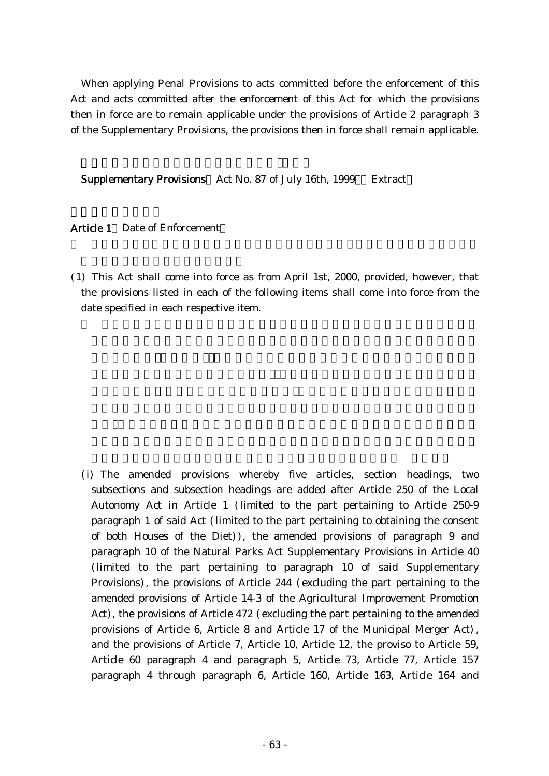When applying Penal Provisions to acts committed before the enforcement of this Act and acts committed after the enforcement of this Act for which the provisions then in force are to remain applicable under the provisions of Article 2 paragraph 3 of the Supplementary Provisions, the provisions then in force shall remain applicable.

Supplementary Provisions Act No. 87 of July 16th, 1999 Extract

Article 1 Date of Enforcement

( )1 This Act shall come into force as from April 1st, 2000, provided, however, that the provisions listed in each of the following items shall come into force from the date specified in each respective item.

(i) The amended provisions whereby five articles, section headings, two subsections and subsection headings are added after Article 250 of the Local Autonomy Act in Article 1 (limited to the part pertaining to Article 250-9 paragraph 1 of said Act (limited to the part pertaining to obtaining the consent of both Houses of the Diet)), the amended provisions of paragraph 9 and paragraph 10 of the Natural Parks Act Supplementary Provisions in Article 40 (limited to the part pertaining to paragraph 10 of said Supplementary Provisions), the provisions of Article 244 (excluding the part pertaining to the amended provisions of Article 14-3 of the Agricultural Improvement Promotion Act), the provisions of Article 472 (excluding the part pertaining to the amended provisions of Article 6, Article 8 and Article 17 of the Municipal Merger Act), and the provisions of Article 7, Article 10, Article 12, the proviso to Article 59, Article 60 paragraph 4 and paragraph 5, Article 73, Article 77, Article 157 paragraph 4 through paragraph 6, Article 160, Article 163, Article 164 and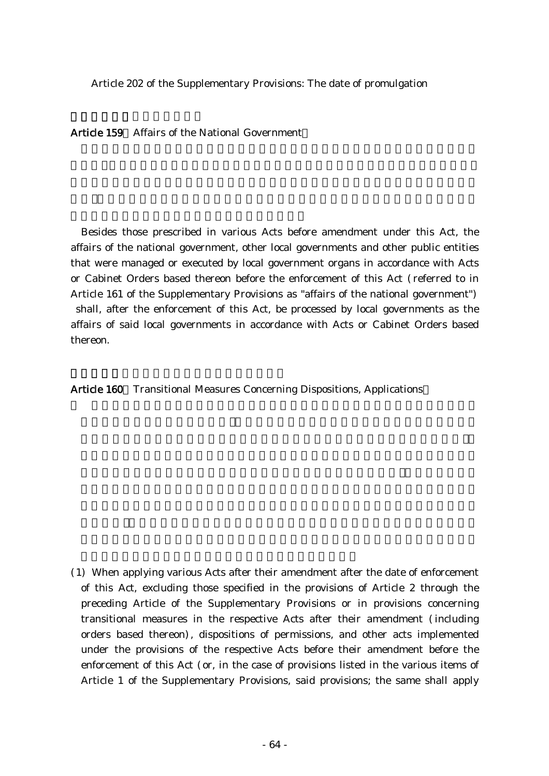Article 202 of the Supplementary Provisions: The date of promulgation

Article 159 Affairs of the National Government

Besides those prescribed in various Acts before amendment under this Act, the affairs of the national government, other local governments and other public entities that were managed or executed by local government organs in accordance with Acts or Cabinet Orders based thereon before the enforcement of this Act (referred to in Article 161 of the Supplementary Provisions as "affairs of the national government") shall, after the enforcement of this Act, be processed by local governments as the affairs of said local governments in accordance with Acts or Cabinet Orders based thereon.

Article 160 Transitional Measures Concerning Dispositions, Applications

(1) When applying various Acts after their amendment after the date of enforcement of this Act, excluding those specified in the provisions of Article 2 through the preceding Article of the Supplementary Provisions or in provisions concerning transitional measures in the respective Acts after their amendment (including orders based thereon), dispositions of permissions, and other acts implemented under the provisions of the respective Acts before their amendment before the enforcement of this Act (or, in the case of provisions listed in the various items of Article 1 of the Supplementary Provisions, said provisions; the same shall apply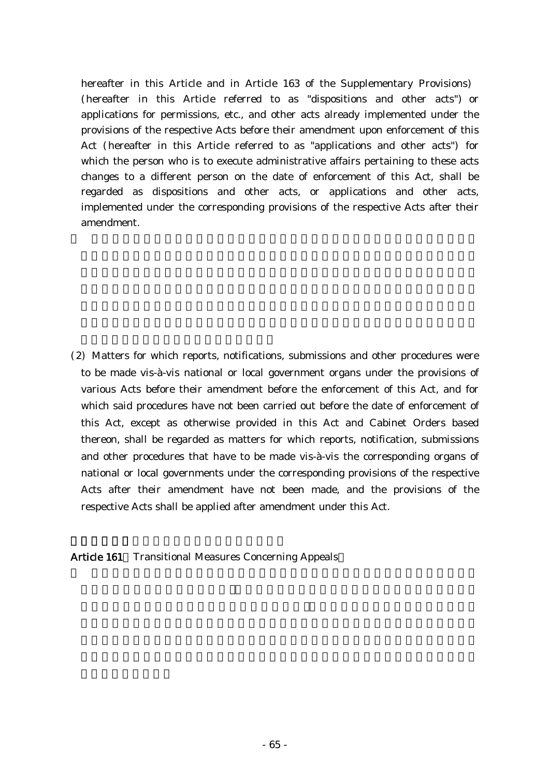hereafter in this Article and in Article 163 of the Supplementary Provisions) (hereafter in this Article referred to as "dispositions and other acts") or applications for permissions, etc., and other acts already implemented under the provisions of the respective Acts before their amendment upon enforcement of this Act (hereafter in this Article referred to as "applications and other acts") for which the person who is to execute administrative affairs pertaining to these acts changes to a different person on the date of enforcement of this Act, shall be regarded as dispositions and other acts, or applications and other acts, implemented under the corresponding provisions of the respective Acts after their amendment.

(2) Matters for which reports, notifications, submissions and other procedures were to be made vis-à-vis national or local government organs under the provisions of various Acts before their amendment before the enforcement of this Act, and for which said procedures have not been carried out before the date of enforcement of this Act, except as otherwise provided in this Act and Cabinet Orders based thereon, shall be regarded as matters for which reports, notification, submissions and other procedures that have to be made vis-à-vis the corresponding organs of national or local governments under the corresponding provisions of the respective Acts after their amendment have not been made, and the provisions of the respective Acts shall be applied after amendment under this Act.

Article 161 Transitional Measures Concerning Appeals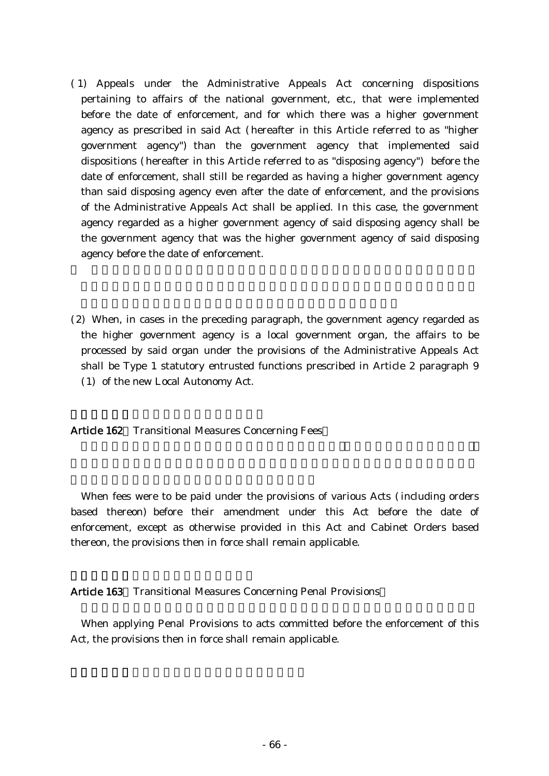- ( )1 Appeals under the Administrative Appeals Act concerning dispositions pertaining to affairs of the national government, etc., that were implemented before the date of enforcement, and for which there was a higher government agency as prescribed in said Act (hereafter in this Article referred to as "higher government agency") than the government agency that implemented said dispositions (hereafter in this Article referred to as "disposing agency") before the date of enforcement, shall still be regarded as having a higher government agency than said disposing agency even after the date of enforcement, and the provisions of the Administrative Appeals Act shall be applied. In this case, the government agency regarded as a higher government agency of said disposing agency shall be the government agency that was the higher government agency of said disposing agency before the date of enforcement.
- (2) When, in cases in the preceding paragraph, the government agency regarded as the higher government agency is a local government organ, the affairs to be processed by said organ under the provisions of the Administrative Appeals Act shall be Type 1 statutory entrusted functions prescribed in Article 2 paragraph 9 (1) of the new Local Autonomy Act.

Article 162 Transitional Measures Concerning Fees

When fees were to be paid under the provisions of various Acts (including orders based thereon) before their amendment under this Act before the date of enforcement, except as otherwise provided in this Act and Cabinet Orders based thereon, the provisions then in force shall remain applicable.

Article 163 Transitional Measures Concerning Penal Provisions

When applying Penal Provisions to acts committed before the enforcement of this Act, the provisions then in force shall remain applicable.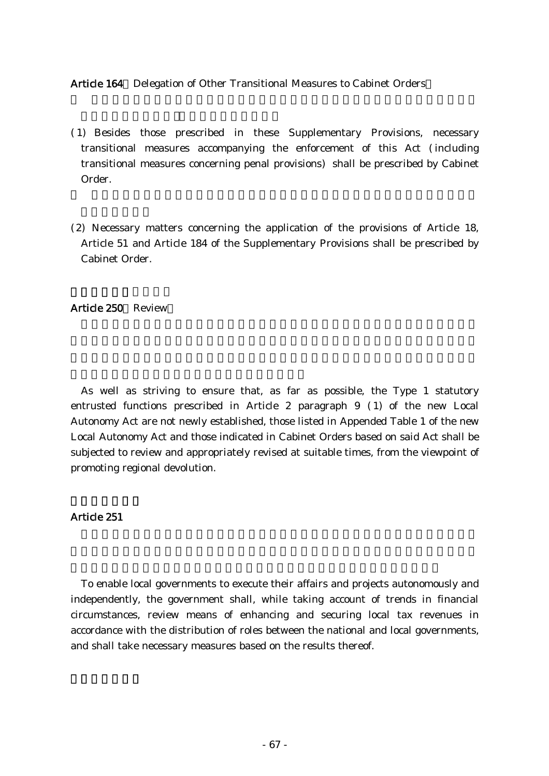Article 164 Delegation of Other Transitional Measures to Cabinet Orders

- ( )1 Besides those prescribed in these Supplementary Provisions, necessary transitional measures accompanying the enforcement of this Act (including transitional measures concerning penal provisions) shall be prescribed by Cabinet Order.
- (2) Necessary matters concerning the application of the provisions of Article 18, Article 51 and Article 184 of the Supplementary Provisions shall be prescribed by Cabinet Order.

Article 250 Review

As well as striving to ensure that, as far as possible, the Type 1 statutory entrusted functions prescribed in Article 2 paragraph  $9$  (1) of the new Local Autonomy Act are not newly established, those listed in Appended Table 1 of the new Local Autonomy Act and those indicated in Cabinet Orders based on said Act shall be subjected to review and appropriately revised at suitable times, from the viewpoint of promoting regional devolution.

### Article 251

To enable local governments to execute their affairs and projects autonomously and independently, the government shall, while taking account of trends in financial circumstances, review means of enhancing and securing local tax revenues in accordance with the distribution of roles between the national and local governments, and shall take necessary measures based on the results thereof.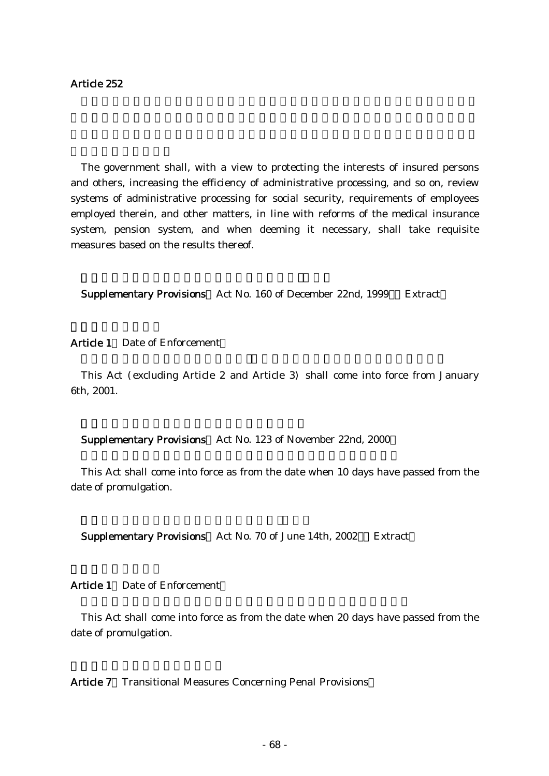The government shall, with a view to protecting the interests of insured persons and others, increasing the efficiency of administrative processing, and so on, review systems of administrative processing for social security, requirements of employees employed therein, and other matters, in line with reforms of the medical insurance system, pension system, and when deeming it necessary, shall take requisite measures based on the results thereof.

Supplementary Provisions Act No. 160 of December 22nd, 1999 Extract

Article 1 Date of Enforcement

This Act (excluding Article 2 and Article 3) shall come into force from January 6th, 2001.

Supplementary Provisions Act No. 123 of November 22nd, 2000

This Act shall come into force as from the date when 10 days have passed from the date of promulgation.

Supplementary Provisions Act No. 70 of June 14th, 2002 Extract

Article 1 Date of Enforcement

This Act shall come into force as from the date when 20 days have passed from the date of promulgation.

Article 7 Transitional Measures Concerning Penal Provisions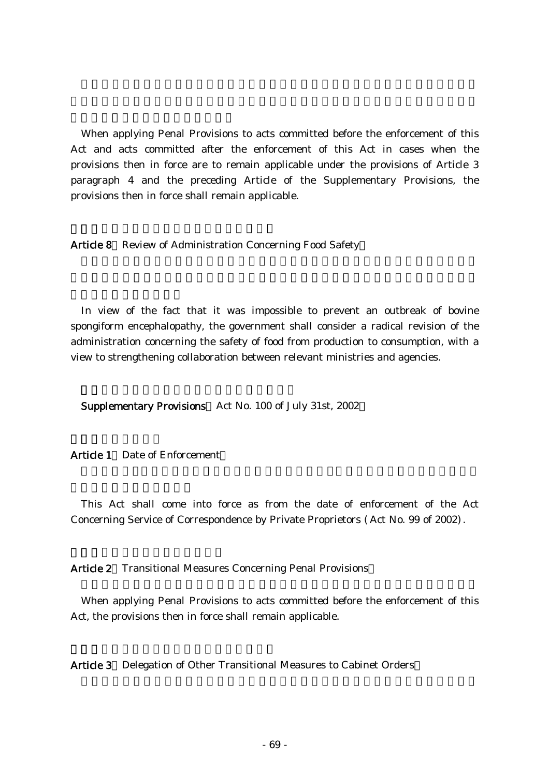When applying Penal Provisions to acts committed before the enforcement of this Act and acts committed after the enforcement of this Act in cases when the provisions then in force are to remain applicable under the provisions of Article 3 paragraph 4 and the preceding Article of the Supplementary Provisions, the provisions then in force shall remain applicable.

Article 8 Review of Administration Concerning Food Safety

In view of the fact that it was impossible to prevent an outbreak of bovine spongiform encephalopathy, the government shall consider a radical revision of the administration concerning the safety of food from production to consumption, with a view to strengthening collaboration between relevant ministries and agencies.

Supplementary Provisions Act No. 100 of July 31st, 2002

Article 1 Date of Enforcement

This Act shall come into force as from the date of enforcement of the Act Concerning Service of Correspondence by Private Proprietors (Act No. 99 of 2002).

Article 2 Transitional Measures Concerning Penal Provisions

When applying Penal Provisions to acts committed before the enforcement of this Act, the provisions then in force shall remain applicable.

Article 3 Delegation of Other Transitional Measures to Cabinet Orders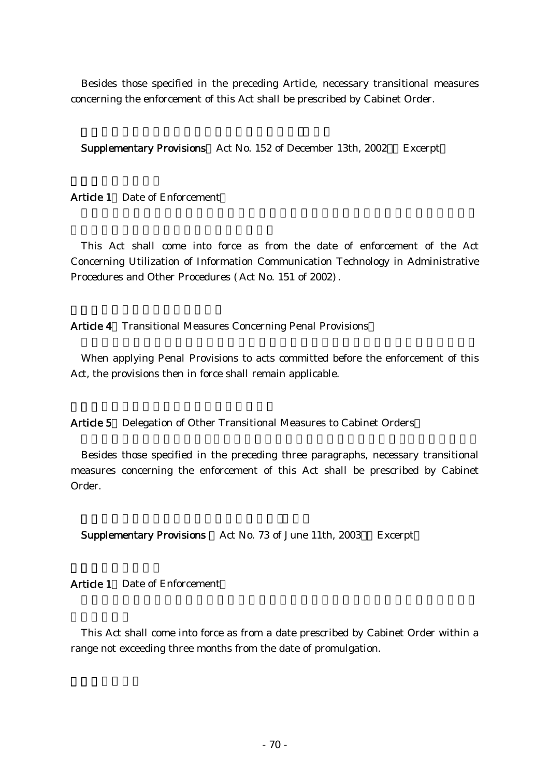Besides those specified in the preceding Article, necessary transitional measures concerning the enforcement of this Act shall be prescribed by Cabinet Order.

Supplementary Provisions Act No. 152 of December 13th, 2002 Excerpt

Article 1 Date of Enforcement

This Act shall come into force as from the date of enforcement of the Act Concerning Utilization of Information Communication Technology in Administrative Procedures and Other Procedures (Act No. 151 of 2002).

Article 4 Transitional Measures Concerning Penal Provisions

When applying Penal Provisions to acts committed before the enforcement of this Act, the provisions then in force shall remain applicable.

Article 5 Delegation of Other Transitional Measures to Cabinet Orders

Besides those specified in the preceding three paragraphs, necessary transitional measures concerning the enforcement of this Act shall be prescribed by Cabinet Order.

Supplementary Provisions Act No. 73 of June 11th, 2003 Excerpt

Article 1 Date of Enforcement

This Act shall come into force as from a date prescribed by Cabinet Order within a range not exceeding three months from the date of promulgation.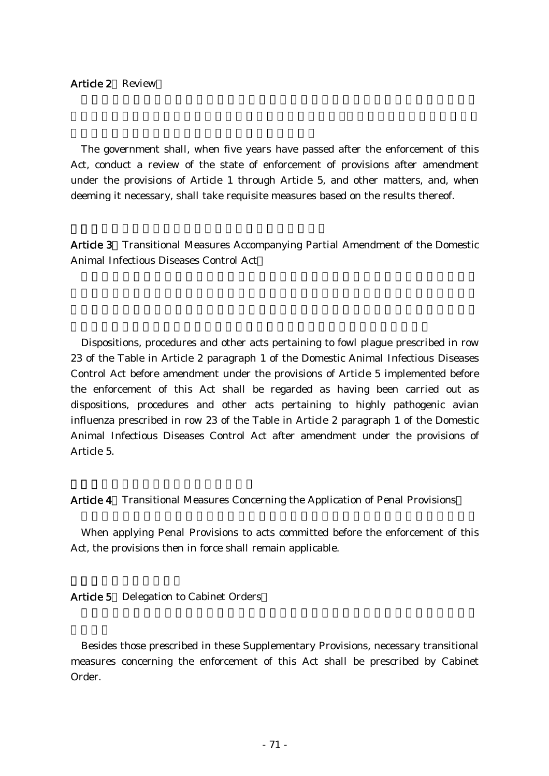#### Article 2 Review

The government shall, when five years have passed after the enforcement of this Act, conduct a review of the state of enforcement of provisions after amendment under the provisions of Article 1 through Article 5, and other matters, and, when deeming it necessary, shall take requisite measures based on the results thereof.

Article 3 Transitional Measures Accompanying Partial Amendment of the Domestic Animal Infectious Diseases Control Act

Dispositions, procedures and other acts pertaining to fowl plague prescribed in row 23 of the Table in Article 2 paragraph 1 of the Domestic Animal Infectious Diseases Control Act before amendment under the provisions of Article 5 implemented before the enforcement of this Act shall be regarded as having been carried out as dispositions, procedures and other acts pertaining to highly pathogenic avian influenza prescribed in row 23 of the Table in Article 2 paragraph 1 of the Domestic Animal Infectious Diseases Control Act after amendment under the provisions of Article 5.

Article 4 Transitional Measures Concerning the Application of Penal Provisions

When applying Penal Provisions to acts committed before the enforcement of this Act, the provisions then in force shall remain applicable.

Article 5 Delegation to Cabinet Orders

Besides those prescribed in these Supplementary Provisions, necessary transitional measures concerning the enforcement of this Act shall be prescribed by Cabinet Order.